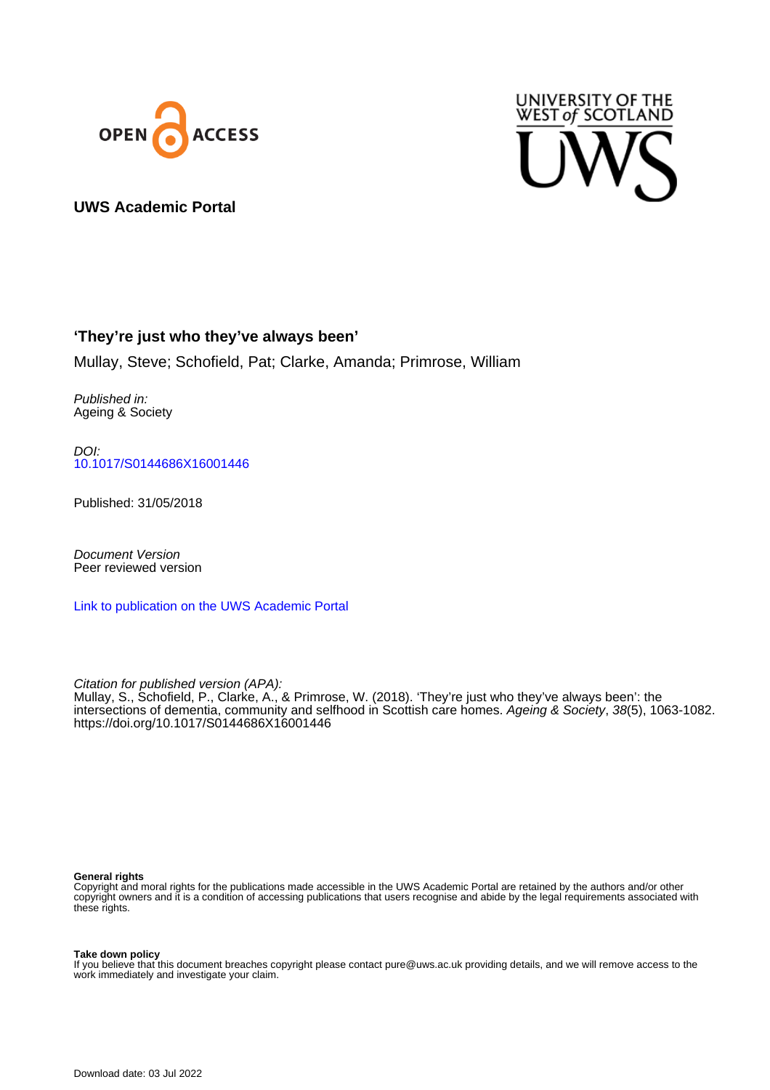



## **UWS Academic Portal**

## **'They're just who they've always been'**

Mullay, Steve; Schofield, Pat; Clarke, Amanda; Primrose, William

Published in: Ageing & Society

DOI: [10.1017/S0144686X16001446](https://doi.org/10.1017/S0144686X16001446)

Published: 31/05/2018

Document Version Peer reviewed version

[Link to publication on the UWS Academic Portal](https://uws.pure.elsevier.com/en/publications/78a4608c-31c0-4c62-b780-42f0cb405fca)

Citation for published version (APA): Mullay, S., Schofield, P., Clarke, A., & Primrose, W. (2018). 'They're just who they've always been': the intersections of dementia, community and selfhood in Scottish care homes. Ageing & Society, 38(5), 1063-1082. <https://doi.org/10.1017/S0144686X16001446>

#### **General rights**

Copyright and moral rights for the publications made accessible in the UWS Academic Portal are retained by the authors and/or other copyright owners and it is a condition of accessing publications that users recognise and abide by the legal requirements associated with these rights.

#### **Take down policy**

If you believe that this document breaches copyright please contact pure@uws.ac.uk providing details, and we will remove access to the work immediately and investigate your claim.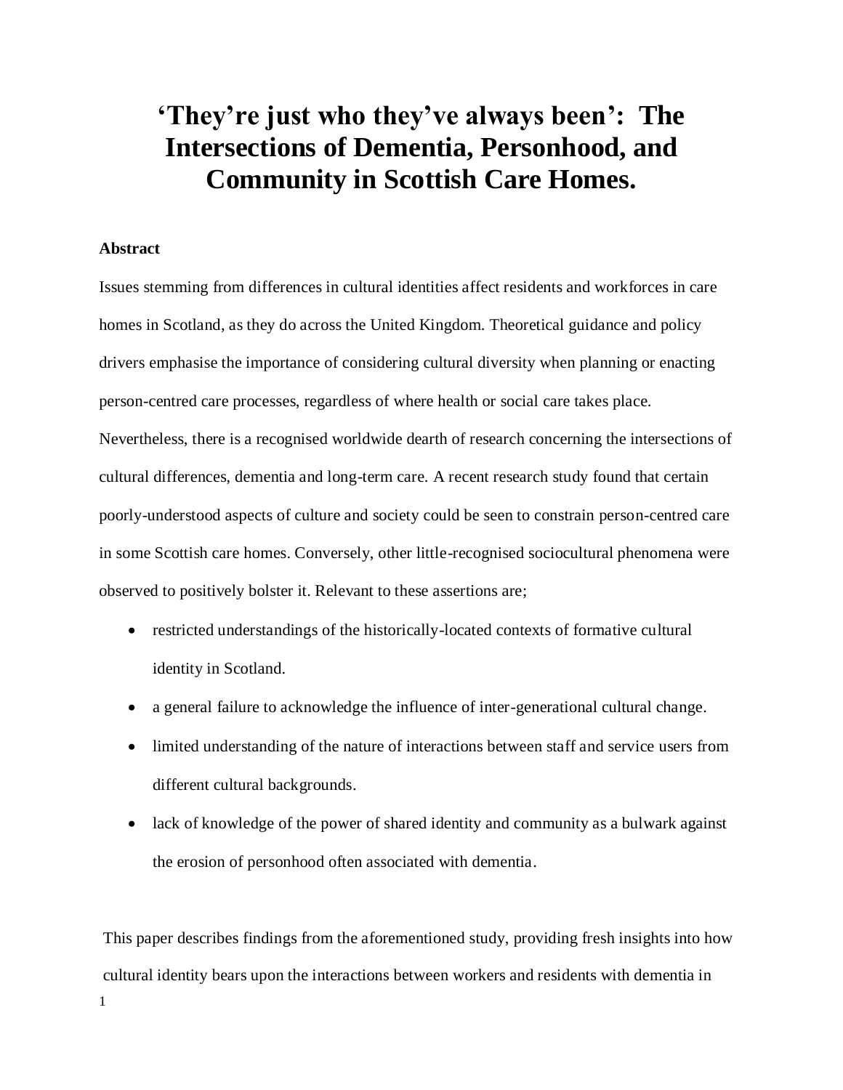# **'They're just who they've always been': The Intersections of Dementia, Personhood, and Community in Scottish Care Homes.**

## **Abstract**

Issues stemming from differences in cultural identities affect residents and workforces in care homes in Scotland, as they do across the United Kingdom. Theoretical guidance and policy drivers emphasise the importance of considering cultural diversity when planning or enacting person-centred care processes, regardless of where health or social care takes place. Nevertheless, there is a recognised worldwide dearth of research concerning the intersections of cultural differences, dementia and long-term care. A recent research study found that certain poorly-understood aspects of culture and society could be seen to constrain person-centred care in some Scottish care homes. Conversely, other little-recognised sociocultural phenomena were observed to positively bolster it. Relevant to these assertions are;

- restricted understandings of the historically-located contexts of formative cultural identity in Scotland.
- a general failure to acknowledge the influence of inter-generational cultural change.
- limited understanding of the nature of interactions between staff and service users from different cultural backgrounds.
- lack of knowledge of the power of shared identity and community as a bulwark against the erosion of personhood often associated with dementia.

1 This paper describes findings from the aforementioned study, providing fresh insights into how cultural identity bears upon the interactions between workers and residents with dementia in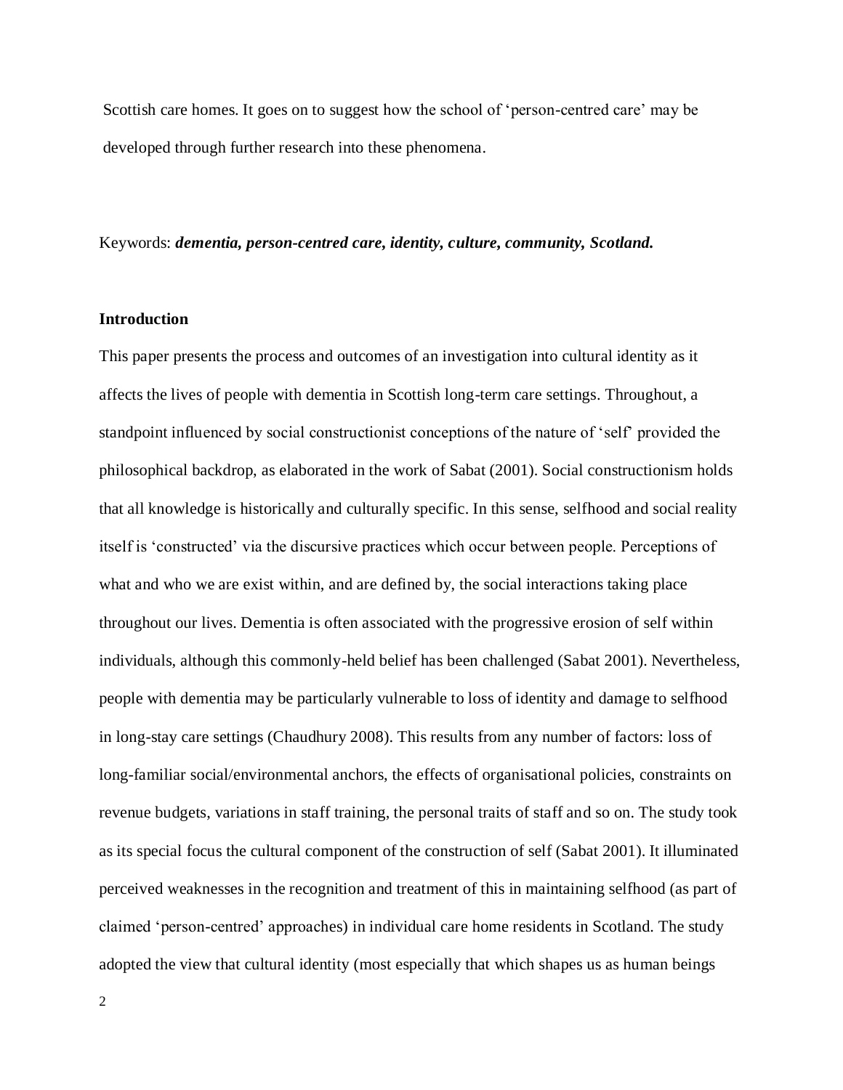Scottish care homes. It goes on to suggest how the school of 'person-centred care' may be developed through further research into these phenomena.

### Keywords: *dementia, person-centred care, identity, culture, community, Scotland.*

## **Introduction**

This paper presents the process and outcomes of an investigation into cultural identity as it affects the lives of people with dementia in Scottish long-term care settings. Throughout, a standpoint influenced by social constructionist conceptions of the nature of 'self' provided the philosophical backdrop, as elaborated in the work of Sabat (2001). Social constructionism holds that all knowledge is historically and culturally specific. In this sense, selfhood and social reality itself is 'constructed' via the discursive practices which occur between people. Perceptions of what and who we are exist within, and are defined by, the social interactions taking place throughout our lives. Dementia is often associated with the progressive erosion of self within individuals, although this commonly-held belief has been challenged (Sabat 2001). Nevertheless, people with dementia may be particularly vulnerable to loss of identity and damage to selfhood in long-stay care settings (Chaudhury 2008). This results from any number of factors: loss of long-familiar social/environmental anchors, the effects of organisational policies, constraints on revenue budgets, variations in staff training, the personal traits of staff and so on. The study took as its special focus the cultural component of the construction of self (Sabat 2001). It illuminated perceived weaknesses in the recognition and treatment of this in maintaining selfhood (as part of claimed 'person-centred' approaches) in individual care home residents in Scotland. The study adopted the view that cultural identity (most especially that which shapes us as human beings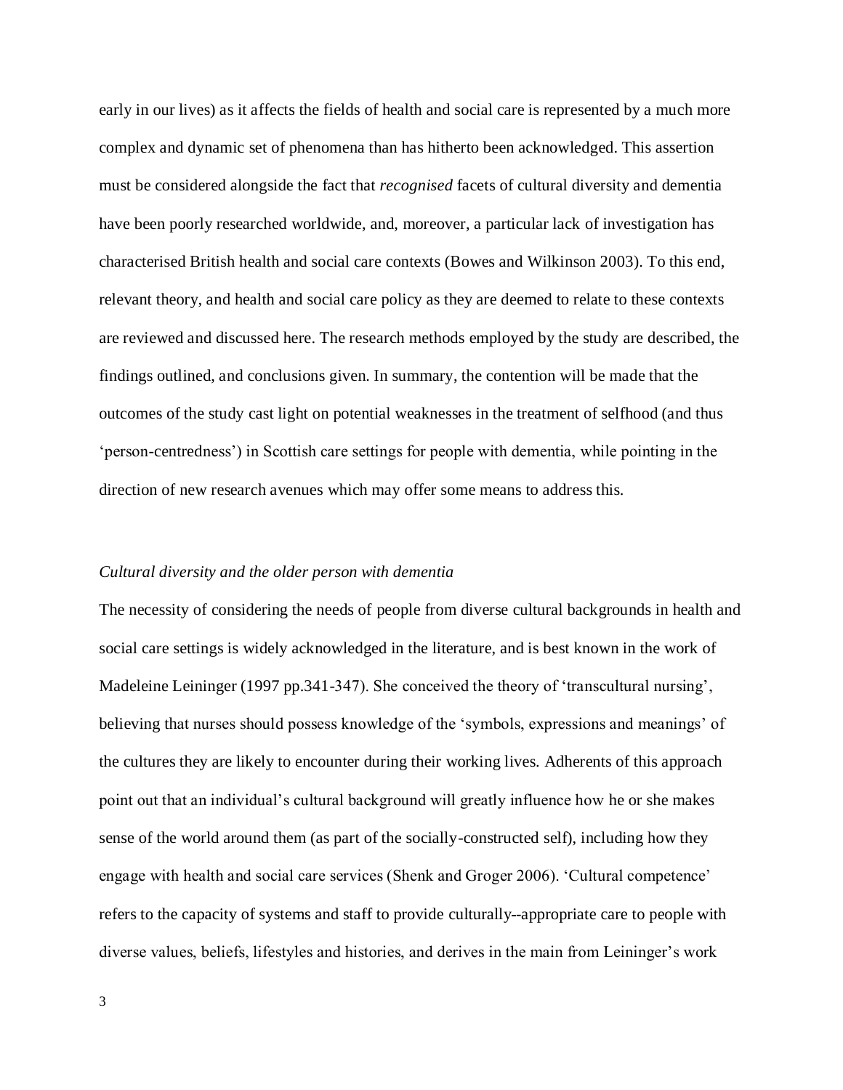early in our lives) as it affects the fields of health and social care is represented by a much more complex and dynamic set of phenomena than has hitherto been acknowledged. This assertion must be considered alongside the fact that *recognised* facets of cultural diversity and dementia have been poorly researched worldwide, and, moreover, a particular lack of investigation has characterised British health and social care contexts (Bowes and Wilkinson 2003). To this end, relevant theory, and health and social care policy as they are deemed to relate to these contexts are reviewed and discussed here. The research methods employed by the study are described, the findings outlined, and conclusions given. In summary, the contention will be made that the outcomes of the study cast light on potential weaknesses in the treatment of selfhood (and thus 'person-centredness') in Scottish care settings for people with dementia, while pointing in the direction of new research avenues which may offer some means to address this.

## *Cultural diversity and the older person with dementia*

The necessity of considering the needs of people from diverse cultural backgrounds in health and social care settings is widely acknowledged in the literature, and is best known in the work of Madeleine Leininger (1997 pp.341-347). She conceived the theory of 'transcultural nursing', believing that nurses should possess knowledge of the 'symbols, expressions and meanings' of the cultures they are likely to encounter during their working lives. Adherents of this approach point out that an individual's cultural background will greatly influence how he or she makes sense of the world around them (as part of the socially-constructed self), including how they engage with health and social care services (Shenk and Groger 2006). 'Cultural competence' refers to the capacity of systems and staff to provide culturally -appropriate care to people with diverse values, beliefs, lifestyles and histories, and derives in the main from Leininger's work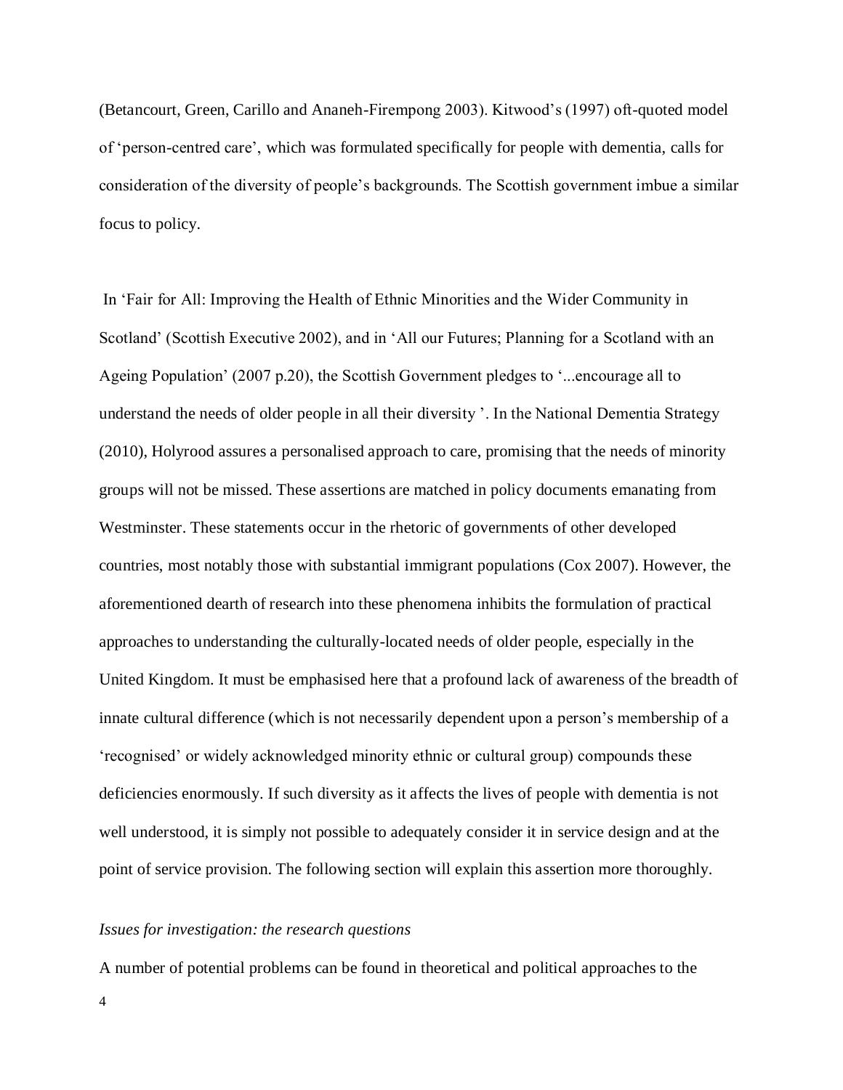(Betancourt, Green, Carillo and Ananeh-Firempong 2003). Kitwood's (1997) oft-quoted model of 'person-centred care', which was formulated specifically for people with dementia, calls for consideration of the diversity of people's backgrounds. The Scottish government imbue a similar focus to policy.

In 'Fair for All: Improving the Health of Ethnic Minorities and the Wider Community in Scotland' (Scottish Executive 2002), and in 'All our Futures; Planning for a Scotland with an Ageing Population' (2007 p.20), the Scottish Government pledges to '...encourage all to understand the needs of older people in all their diversity '. In the National Dementia Strategy (2010), Holyrood assures a personalised approach to care, promising that the needs of minority groups will not be missed. These assertions are matched in policy documents emanating from Westminster. These statements occur in the rhetoric of governments of other developed countries, most notably those with substantial immigrant populations (Cox 2007). However, the aforementioned dearth of research into these phenomena inhibits the formulation of practical approaches to understanding the culturally-located needs of older people, especially in the United Kingdom. It must be emphasised here that a profound lack of awareness of the breadth of innate cultural difference (which is not necessarily dependent upon a person's membership of a 'recognised' or widely acknowledged minority ethnic or cultural group) compounds these deficiencies enormously. If such diversity as it affects the lives of people with dementia is not well understood, it is simply not possible to adequately consider it in service design and at the point of service provision. The following section will explain this assertion more thoroughly.

## *Issues for investigation: the research questions*

A number of potential problems can be found in theoretical and political approaches to the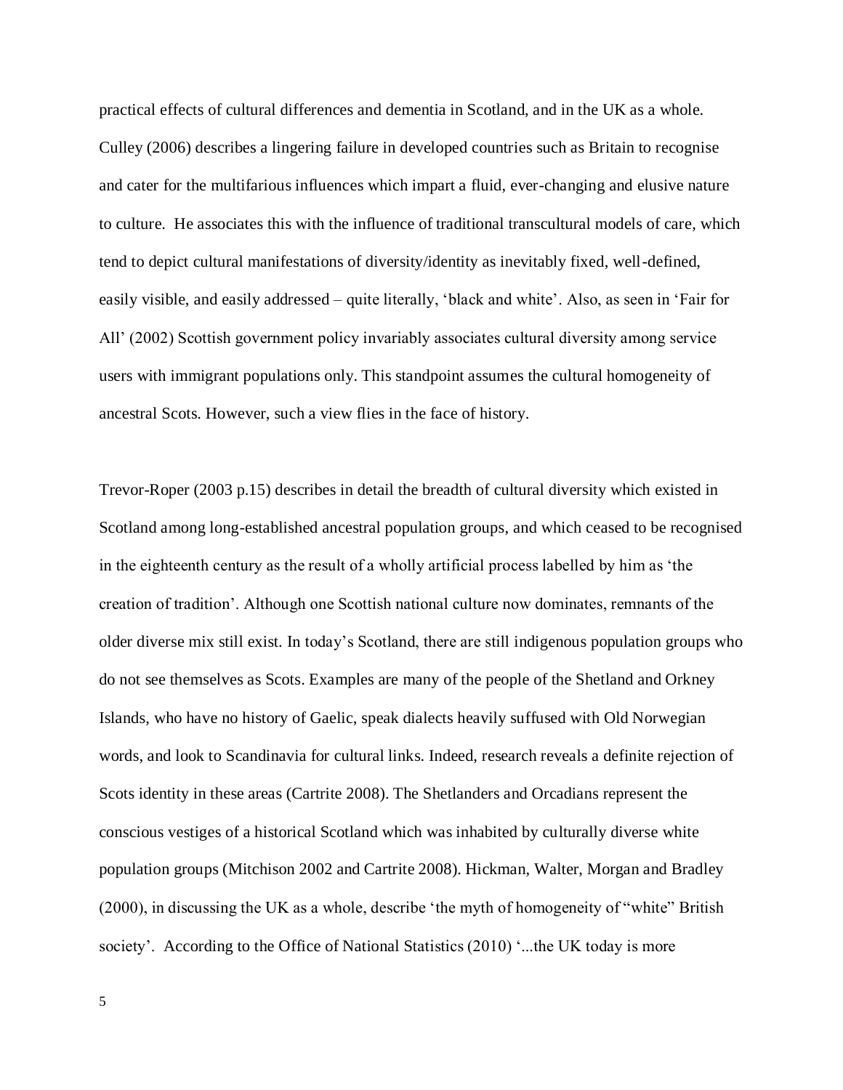practical effects of cultural differences and dementia in Scotland, and in the UK as a whole. Culley (2006) describes a lingering failure in developed countries such as Britain to recognise and cater for the multifarious influences which impart a fluid, ever-changing and elusive nature to culture. He associates this with the influence of traditional transcultural models of care, which tend to depict cultural manifestations of diversity/identity as inevitably fixed, well-defined, easily visible, and easily addressed – quite literally, 'black and white'. Also, as seen in 'Fair for All' (2002) Scottish government policy invariably associates cultural diversity among service users with immigrant populations only. This standpoint assumes the cultural homogeneity of ancestral Scots. However, such a view flies in the face of history.

Trevor-Roper (2003 p.15) describes in detail the breadth of cultural diversity which existed in Scotland among long-established ancestral population groups, and which ceased to be recognised in the eighteenth century as the result of a wholly artificial process labelled by him as 'the creation of tradition'. Although one Scottish national culture now dominates, remnants of the older diverse mix still exist. In today's Scotland, there are still indigenous population groups who do not see themselves as Scots. Examples are many of the people of the Shetland and Orkney Islands, who have no history of Gaelic, speak dialects heavily suffused with Old Norwegian words, and look to Scandinavia for cultural links. Indeed, research reveals a definite rejection of Scots identity in these areas (Cartrite 2008). The Shetlanders and Orcadians represent the conscious vestiges of a historical Scotland which was inhabited by culturally diverse white population groups (Mitchison 2002 and Cartrite 2008). Hickman, Walter, Morgan and Bradley (2000), in discussing the UK as a whole, describe 'the myth of homogeneity of "white" British society'. According to the Office of National Statistics (2010) '...the UK today is more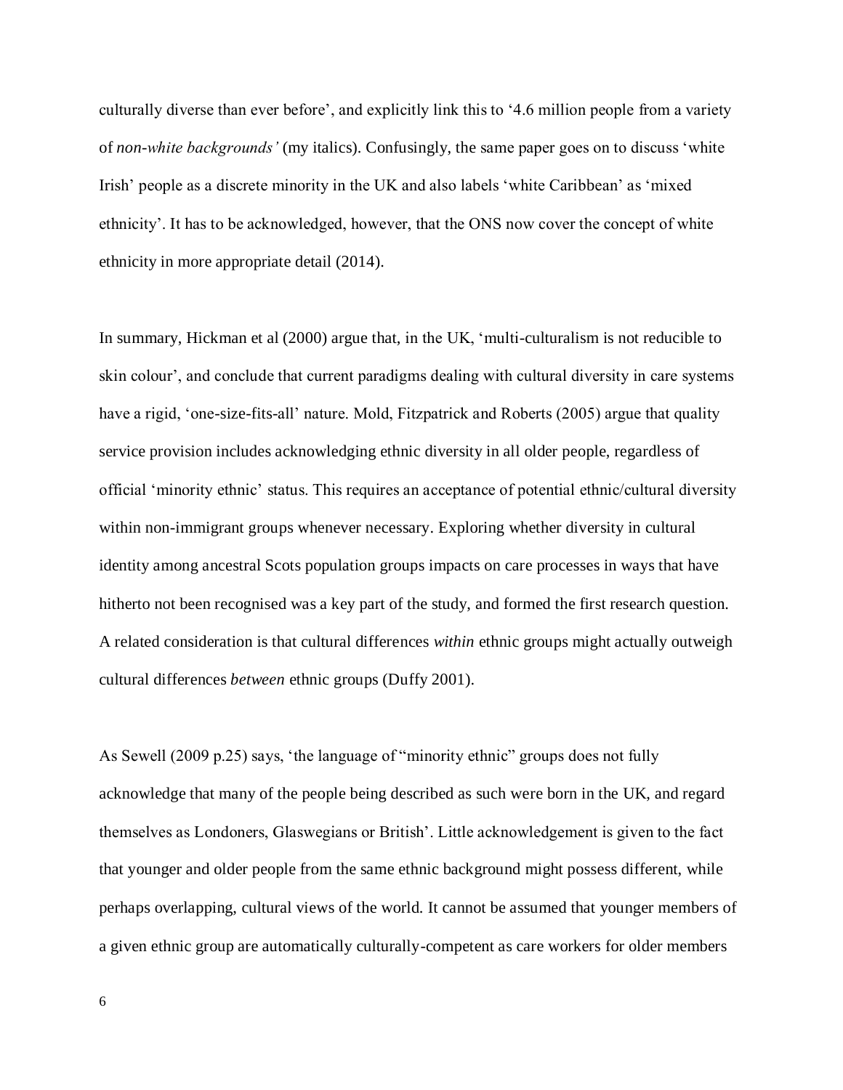culturally diverse than ever before', and explicitly link this to '4.6 million people from a variety of *non-white backgrounds'* (my italics). Confusingly, the same paper goes on to discuss 'white Irish' people as a discrete minority in the UK and also labels 'white Caribbean' as 'mixed ethnicity'. It has to be acknowledged, however, that the ONS now cover the concept of white ethnicity in more appropriate detail (2014).

In summary, Hickman et al (2000) argue that, in the UK, 'multi-culturalism is not reducible to skin colour', and conclude that current paradigms dealing with cultural diversity in care systems have a rigid, 'one-size-fits-all' nature. Mold, Fitzpatrick and Roberts (2005) argue that quality service provision includes acknowledging ethnic diversity in all older people, regardless of official 'minority ethnic' status. This requires an acceptance of potential ethnic/cultural diversity within non-immigrant groups whenever necessary. Exploring whether diversity in cultural identity among ancestral Scots population groups impacts on care processes in ways that have hitherto not been recognised was a key part of the study, and formed the first research question. A related consideration is that cultural differences *within* ethnic groups might actually outweigh cultural differences *between* ethnic groups (Duffy 2001).

As Sewell (2009 p.25) says, 'the language of "minority ethnic" groups does not fully acknowledge that many of the people being described as such were born in the UK, and regard themselves as Londoners, Glaswegians or British'. Little acknowledgement is given to the fact that younger and older people from the same ethnic background might possess different, while perhaps overlapping, cultural views of the world. It cannot be assumed that younger members of a given ethnic group are automatically culturally-competent as care workers for older members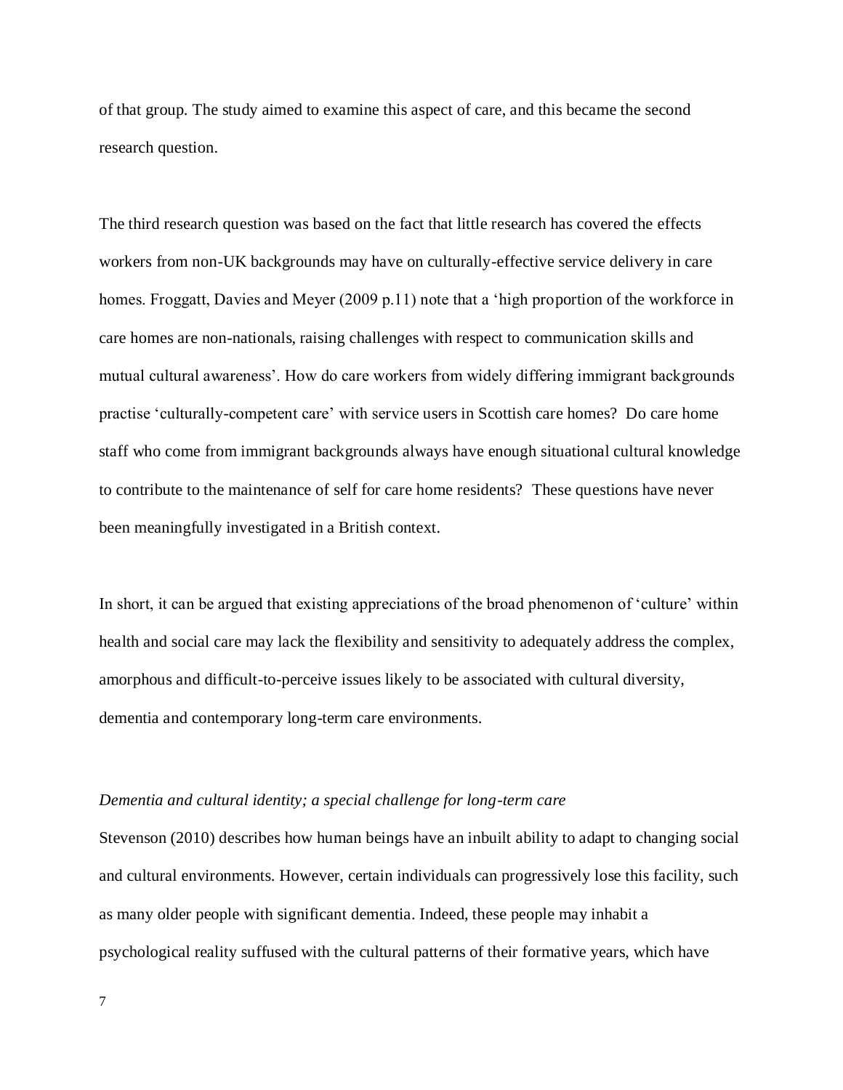of that group. The study aimed to examine this aspect of care, and this became the second research question.

The third research question was based on the fact that little research has covered the effects workers from non-UK backgrounds may have on culturally-effective service delivery in care homes. Froggatt, Davies and Meyer (2009 p.11) note that a 'high proportion of the workforce in care homes are non-nationals, raising challenges with respect to communication skills and mutual cultural awareness'. How do care workers from widely differing immigrant backgrounds practise 'culturally-competent care' with service users in Scottish care homes? Do care home staff who come from immigrant backgrounds always have enough situational cultural knowledge to contribute to the maintenance of self for care home residents? These questions have never been meaningfully investigated in a British context.

In short, it can be argued that existing appreciations of the broad phenomenon of 'culture' within health and social care may lack the flexibility and sensitivity to adequately address the complex, amorphous and difficult-to-perceive issues likely to be associated with cultural diversity, dementia and contemporary long-term care environments.

#### *Dementia and cultural identity; a special challenge for long-term care*

Stevenson (2010) describes how human beings have an inbuilt ability to adapt to changing social and cultural environments. However, certain individuals can progressively lose this facility, such as many older people with significant dementia. Indeed, these people may inhabit a psychological reality suffused with the cultural patterns of their formative years, which have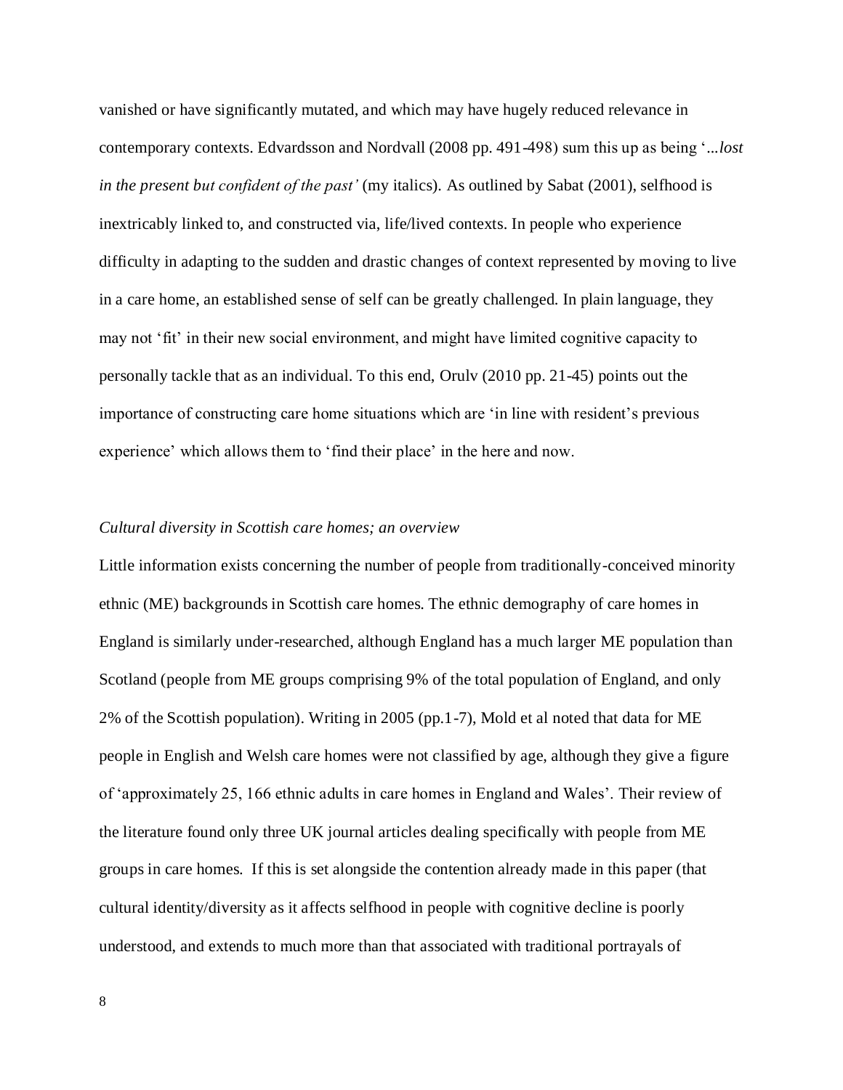vanished or have significantly mutated, and which may have hugely reduced relevance in contemporary contexts. Edvardsson and Nordvall (2008 pp. 491-498) sum this up as being '*...lost in the present but confident of the past'* (my italics). As outlined by Sabat (2001), selfhood is inextricably linked to, and constructed via, life/lived contexts. In people who experience difficulty in adapting to the sudden and drastic changes of context represented by moving to live in a care home, an established sense of self can be greatly challenged. In plain language, they may not 'fit' in their new social environment, and might have limited cognitive capacity to personally tackle that as an individual. To this end, Orulv (2010 pp. 21-45) points out the importance of constructing care home situations which are 'in line with resident's previous experience' which allows them to 'find their place' in the here and now.

#### *Cultural diversity in Scottish care homes; an overview*

Little information exists concerning the number of people from traditionally-conceived minority ethnic (ME) backgrounds in Scottish care homes. The ethnic demography of care homes in England is similarly under-researched, although England has a much larger ME population than Scotland (people from ME groups comprising 9% of the total population of England, and only 2% of the Scottish population). Writing in 2005 (pp.1-7), Mold et al noted that data for ME people in English and Welsh care homes were not classified by age, although they give a figure of 'approximately 25, 166 ethnic adults in care homes in England and Wales'. Their review of the literature found only three UK journal articles dealing specifically with people from ME groups in care homes. If this is set alongside the contention already made in this paper (that cultural identity/diversity as it affects selfhood in people with cognitive decline is poorly understood, and extends to much more than that associated with traditional portrayals of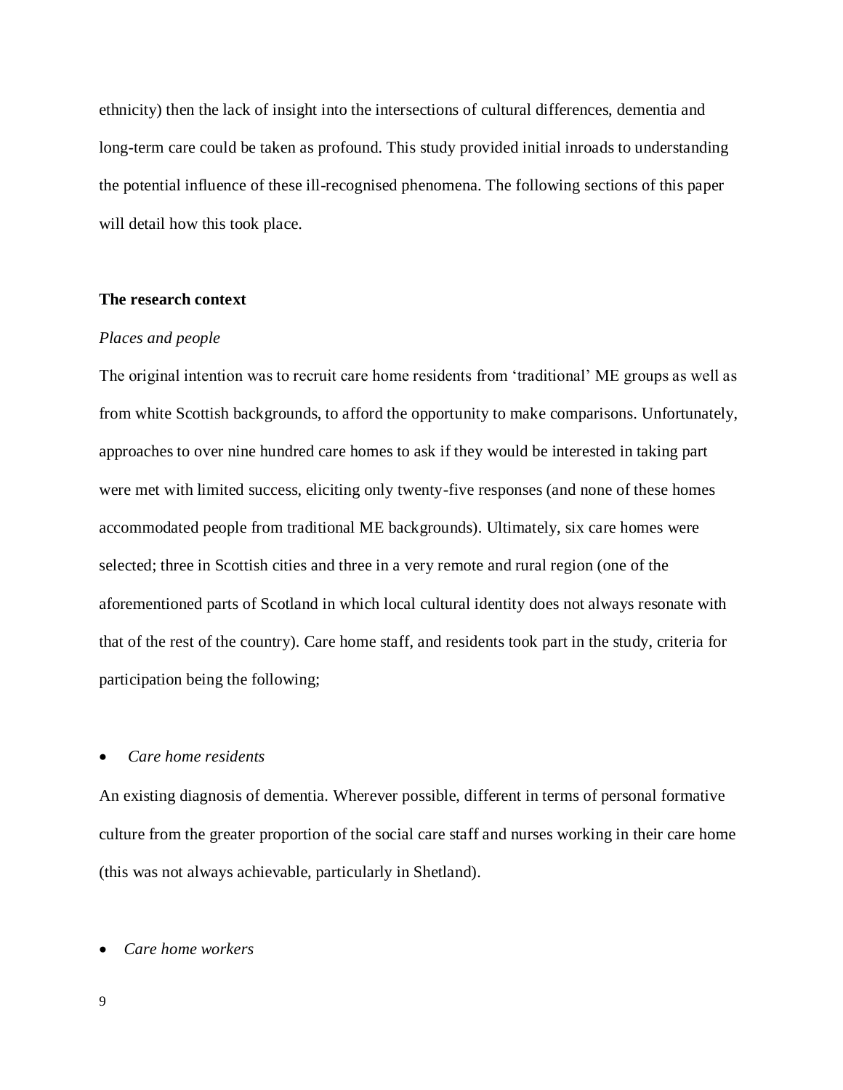ethnicity) then the lack of insight into the intersections of cultural differences, dementia and long-term care could be taken as profound. This study provided initial inroads to understanding the potential influence of these ill-recognised phenomena. The following sections of this paper will detail how this took place.

## **The research context**

## *Places and people*

The original intention was to recruit care home residents from 'traditional' ME groups as well as from white Scottish backgrounds, to afford the opportunity to make comparisons. Unfortunately, approaches to over nine hundred care homes to ask if they would be interested in taking part were met with limited success, eliciting only twenty-five responses (and none of these homes accommodated people from traditional ME backgrounds). Ultimately, six care homes were selected; three in Scottish cities and three in a very remote and rural region (one of the aforementioned parts of Scotland in which local cultural identity does not always resonate with that of the rest of the country). Care home staff, and residents took part in the study, criteria for participation being the following;

## • *Care home residents*

An existing diagnosis of dementia. Wherever possible, different in terms of personal formative culture from the greater proportion of the social care staff and nurses working in their care home (this was not always achievable, particularly in Shetland).

## • *Care home workers*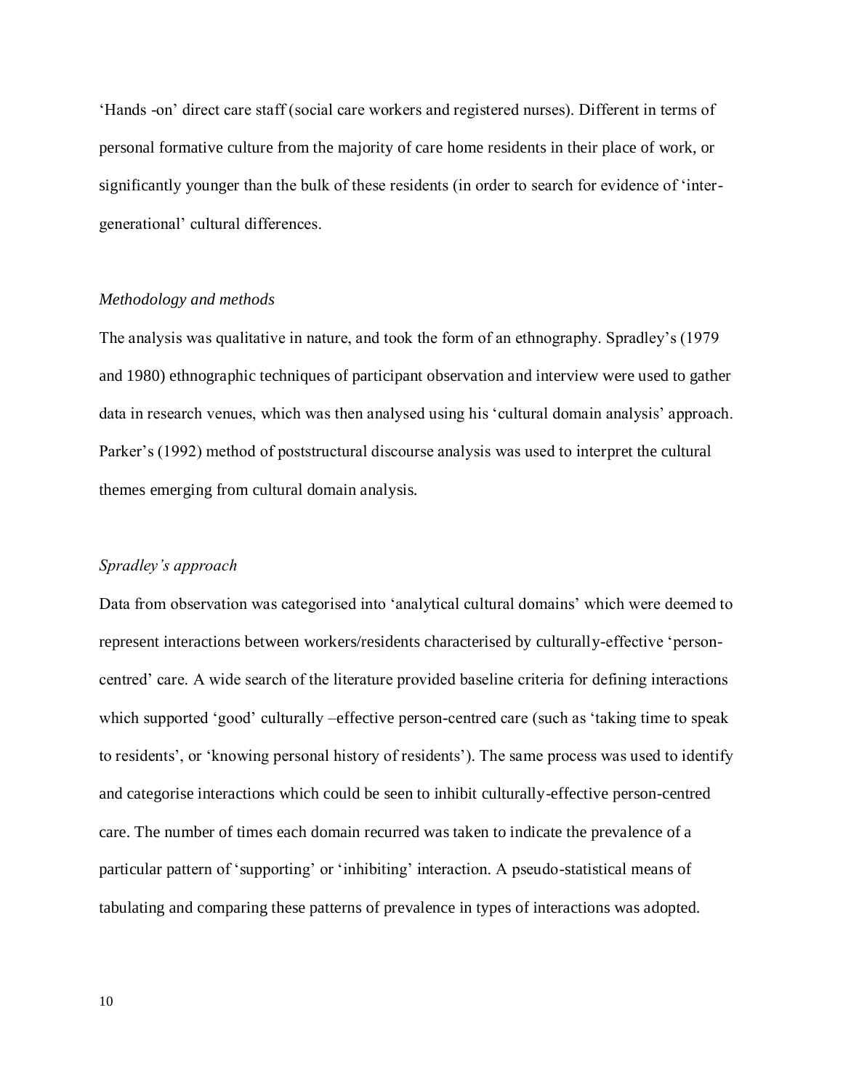'Hands -on' direct care staff (social care workers and registered nurses). Different in terms of personal formative culture from the majority of care home residents in their place of work, or significantly younger than the bulk of these residents (in order to search for evidence of 'intergenerational' cultural differences.

## *Methodology and methods*

The analysis was qualitative in nature, and took the form of an ethnography. Spradley's (1979 and 1980) ethnographic techniques of participant observation and interview were used to gather data in research venues, which was then analysed using his 'cultural domain analysis' approach. Parker's (1992) method of poststructural discourse analysis was used to interpret the cultural themes emerging from cultural domain analysis.

#### *Spradley's approach*

Data from observation was categorised into 'analytical cultural domains' which were deemed to represent interactions between workers/residents characterised by culturally-effective 'personcentred' care. A wide search of the literature provided baseline criteria for defining interactions which supported 'good' culturally –effective person-centred care (such as 'taking time to speak to residents', or 'knowing personal history of residents'). The same process was used to identify and categorise interactions which could be seen to inhibit culturally-effective person-centred care. The number of times each domain recurred was taken to indicate the prevalence of a particular pattern of 'supporting' or 'inhibiting' interaction. A pseudo-statistical means of tabulating and comparing these patterns of prevalence in types of interactions was adopted.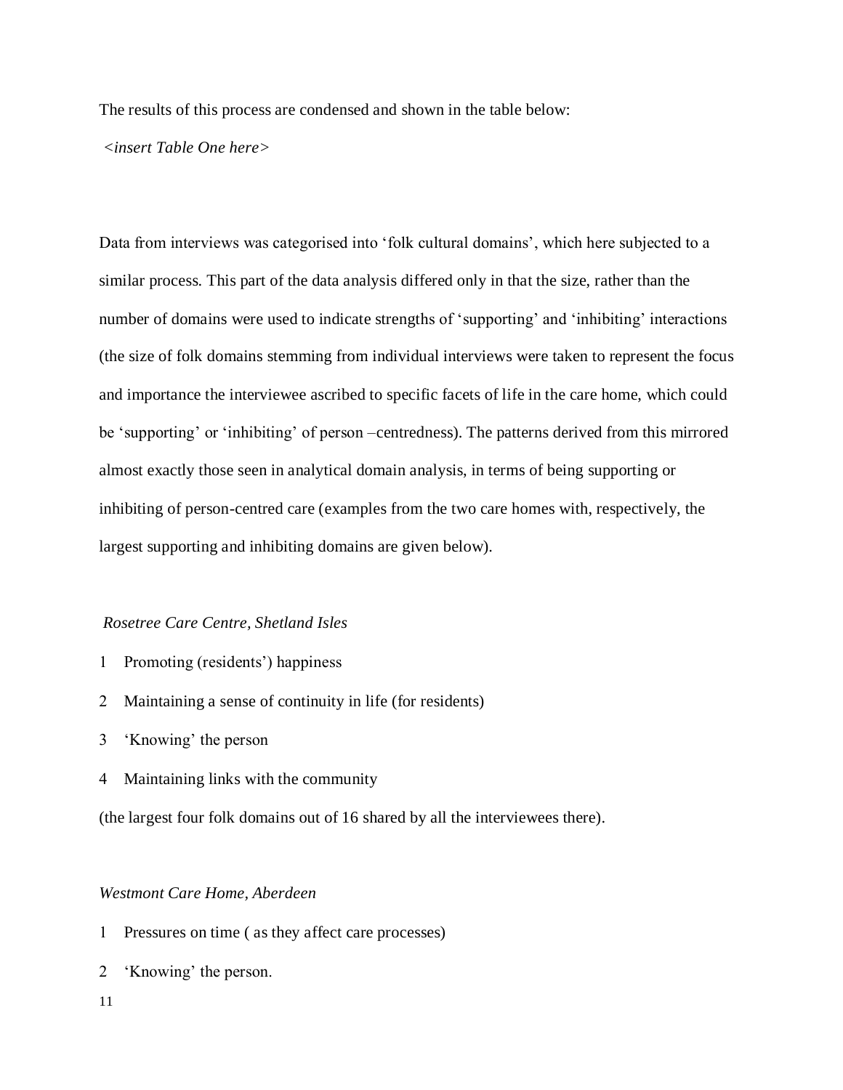The results of this process are condensed and shown in the table below:

#### *<insert Table One here>*

Data from interviews was categorised into 'folk cultural domains', which here subjected to a similar process. This part of the data analysis differed only in that the size, rather than the number of domains were used to indicate strengths of 'supporting' and 'inhibiting' interactions (the size of folk domains stemming from individual interviews were taken to represent the focus and importance the interviewee ascribed to specific facets of life in the care home, which could be 'supporting' or 'inhibiting' of person –centredness). The patterns derived from this mirrored almost exactly those seen in analytical domain analysis, in terms of being supporting or inhibiting of person-centred care (examples from the two care homes with, respectively, the largest supporting and inhibiting domains are given below).

## *Rosetree Care Centre, Shetland Isles*

- 1 Promoting (residents') happiness
- Maintaining a sense of continuity in life (for residents)
- 'Knowing' the person
- Maintaining links with the community

(the largest four folk domains out of 16 shared by all the interviewees there).

## *Westmont Care Home, Aberdeen*

- Pressures on time ( as they affect care processes)
- 'Knowing' the person.
- 11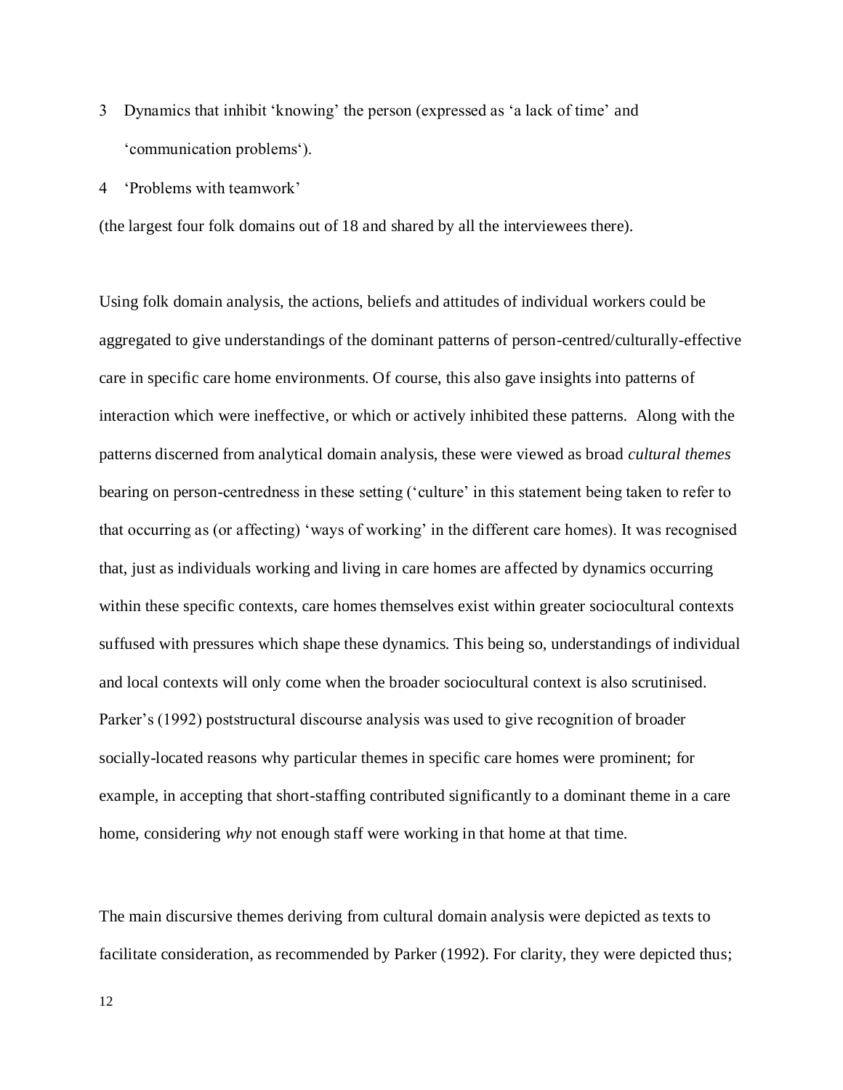- Dynamics that inhibit 'knowing' the person (expressed as 'a lack of time' and 'communication problems').
- 'Problems with teamwork'

(the largest four folk domains out of 18 and shared by all the interviewees there).

Using folk domain analysis, the actions, beliefs and attitudes of individual workers could be aggregated to give understandings of the dominant patterns of person-centred/culturally-effective care in specific care home environments. Of course, this also gave insights into patterns of interaction which were ineffective, or which or actively inhibited these patterns. Along with the patterns discerned from analytical domain analysis, these were viewed as broad *cultural themes*  bearing on person-centredness in these setting ('culture' in this statement being taken to refer to that occurring as (or affecting) 'ways of working' in the different care homes). It was recognised that, just as individuals working and living in care homes are affected by dynamics occurring within these specific contexts, care homes themselves exist within greater sociocultural contexts suffused with pressures which shape these dynamics. This being so, understandings of individual and local contexts will only come when the broader sociocultural context is also scrutinised. Parker's (1992) poststructural discourse analysis was used to give recognition of broader socially-located reasons why particular themes in specific care homes were prominent; for example, in accepting that short-staffing contributed significantly to a dominant theme in a care home, considering *why* not enough staff were working in that home at that time.

The main discursive themes deriving from cultural domain analysis were depicted as texts to facilitate consideration, as recommended by Parker (1992). For clarity, they were depicted thus;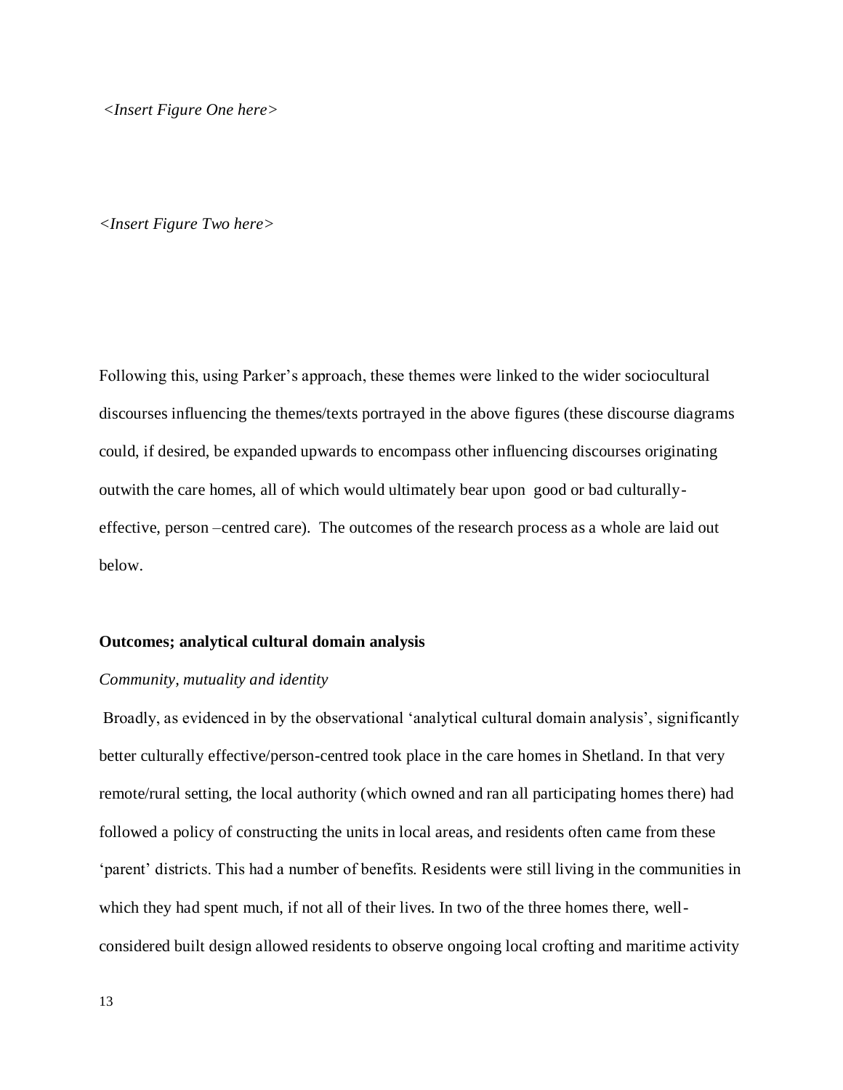*<Insert Figure One here>*

#### *<Insert Figure Two here>*

Following this, using Parker's approach, these themes were linked to the wider sociocultural discourses influencing the themes/texts portrayed in the above figures (these discourse diagrams could, if desired, be expanded upwards to encompass other influencing discourses originating outwith the care homes, all of which would ultimately bear upon good or bad culturallyeffective, person –centred care). The outcomes of the research process as a whole are laid out below.

## **Outcomes; analytical cultural domain analysis**

## *Community, mutuality and identity*

Broadly, as evidenced in by the observational 'analytical cultural domain analysis', significantly better culturally effective/person-centred took place in the care homes in Shetland. In that very remote/rural setting, the local authority (which owned and ran all participating homes there) had followed a policy of constructing the units in local areas, and residents often came from these 'parent' districts. This had a number of benefits. Residents were still living in the communities in which they had spent much, if not all of their lives. In two of the three homes there, wellconsidered built design allowed residents to observe ongoing local crofting and maritime activity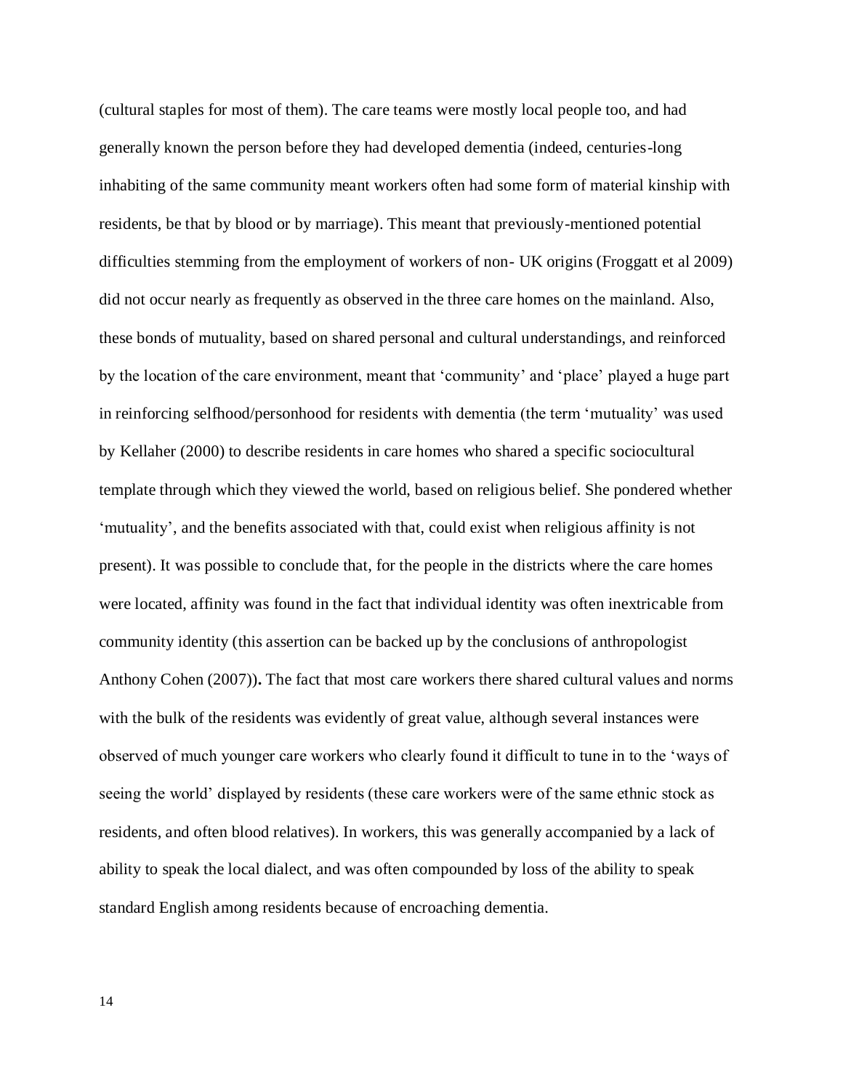(cultural staples for most of them). The care teams were mostly local people too, and had generally known the person before they had developed dementia (indeed, centuries-long inhabiting of the same community meant workers often had some form of material kinship with residents, be that by blood or by marriage). This meant that previously-mentioned potential difficulties stemming from the employment of workers of non- UK origins (Froggatt et al 2009) did not occur nearly as frequently as observed in the three care homes on the mainland. Also, these bonds of mutuality, based on shared personal and cultural understandings, and reinforced by the location of the care environment, meant that 'community' and 'place' played a huge part in reinforcing selfhood/personhood for residents with dementia (the term 'mutuality' was used by Kellaher (2000) to describe residents in care homes who shared a specific sociocultural template through which they viewed the world, based on religious belief. She pondered whether 'mutuality', and the benefits associated with that, could exist when religious affinity is not present). It was possible to conclude that, for the people in the districts where the care homes were located, affinity was found in the fact that individual identity was often inextricable from community identity (this assertion can be backed up by the conclusions of anthropologist Anthony Cohen (2007))**.** The fact that most care workers there shared cultural values and norms with the bulk of the residents was evidently of great value, although several instances were observed of much younger care workers who clearly found it difficult to tune in to the 'ways of seeing the world' displayed by residents (these care workers were of the same ethnic stock as residents, and often blood relatives). In workers, this was generally accompanied by a lack of ability to speak the local dialect, and was often compounded by loss of the ability to speak standard English among residents because of encroaching dementia.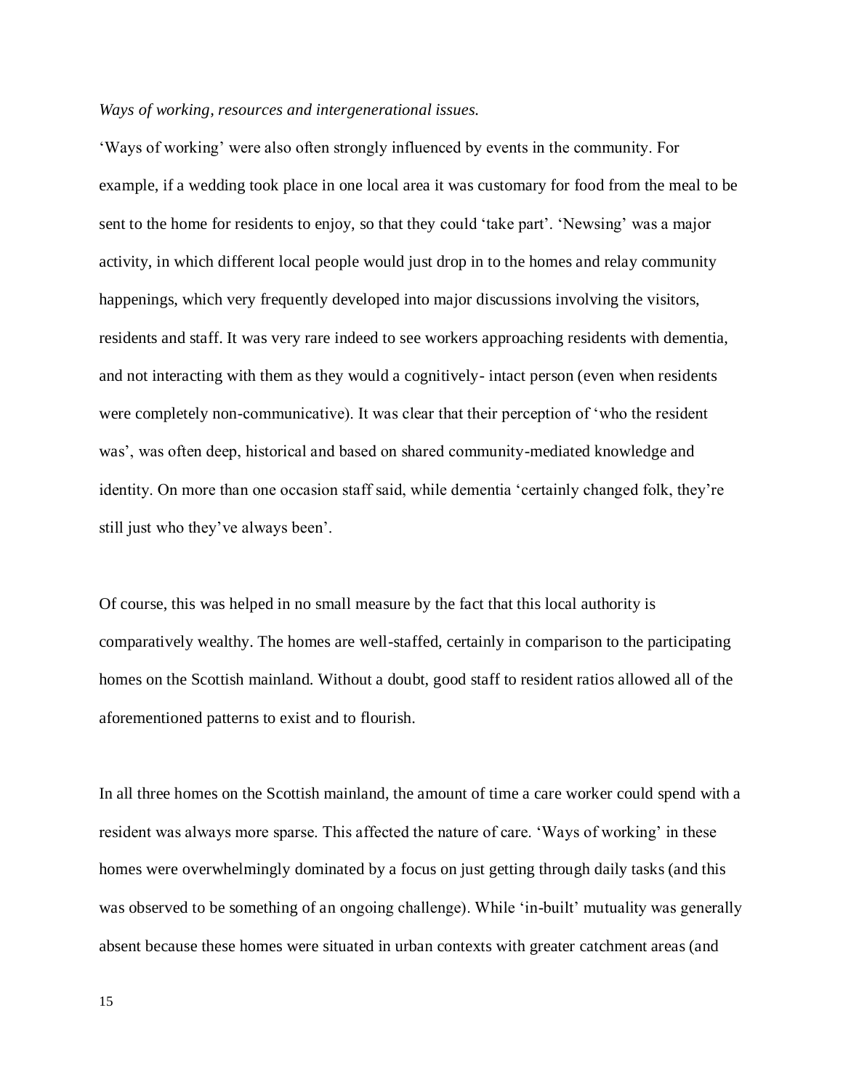## *Ways of working, resources and intergenerational issues.*

'Ways of working' were also often strongly influenced by events in the community. For example, if a wedding took place in one local area it was customary for food from the meal to be sent to the home for residents to enjoy, so that they could 'take part'. 'Newsing' was a major activity, in which different local people would just drop in to the homes and relay community happenings, which very frequently developed into major discussions involving the visitors, residents and staff. It was very rare indeed to see workers approaching residents with dementia, and not interacting with them as they would a cognitively- intact person (even when residents were completely non-communicative). It was clear that their perception of 'who the resident was', was often deep, historical and based on shared community-mediated knowledge and identity. On more than one occasion staff said, while dementia 'certainly changed folk, they're still just who they've always been'.

Of course, this was helped in no small measure by the fact that this local authority is comparatively wealthy. The homes are well-staffed, certainly in comparison to the participating homes on the Scottish mainland. Without a doubt, good staff to resident ratios allowed all of the aforementioned patterns to exist and to flourish.

In all three homes on the Scottish mainland, the amount of time a care worker could spend with a resident was always more sparse. This affected the nature of care. 'Ways of working' in these homes were overwhelmingly dominated by a focus on just getting through daily tasks (and this was observed to be something of an ongoing challenge). While 'in-built' mutuality was generally absent because these homes were situated in urban contexts with greater catchment areas (and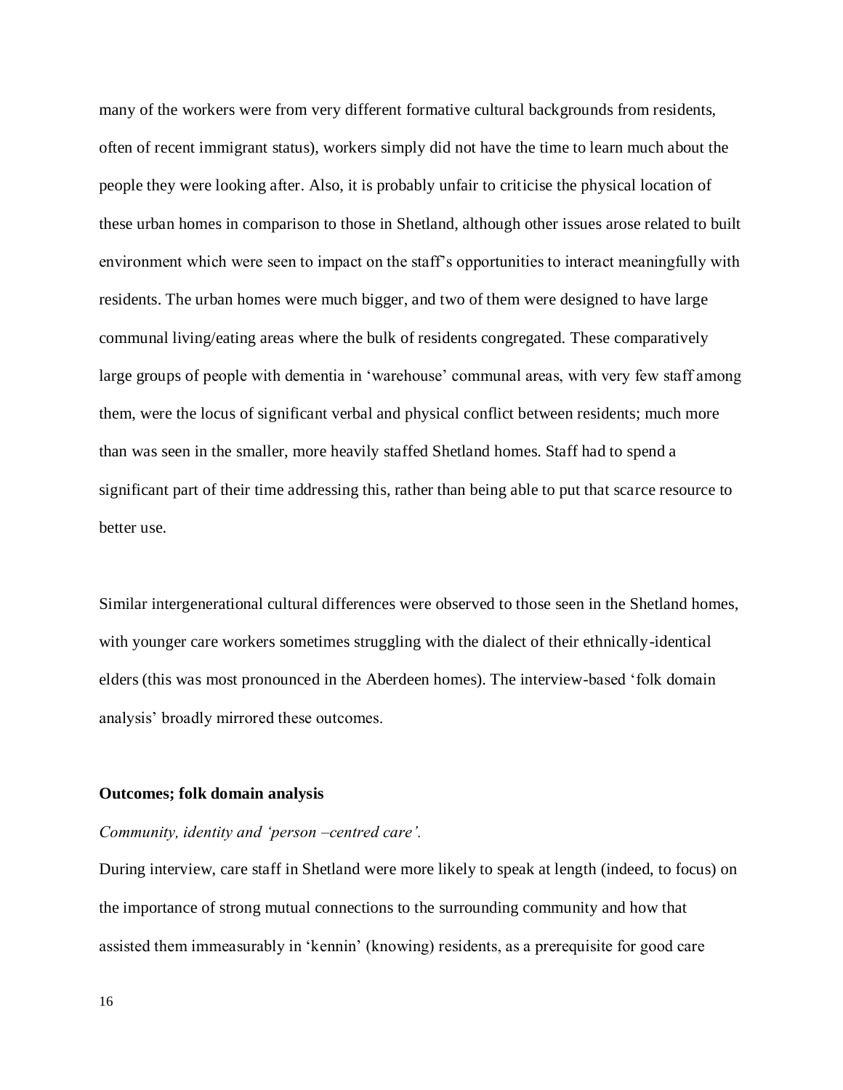many of the workers were from very different formative cultural backgrounds from residents, often of recent immigrant status), workers simply did not have the time to learn much about the people they were looking after. Also, it is probably unfair to criticise the physical location of these urban homes in comparison to those in Shetland, although other issues arose related to built environment which were seen to impact on the staff's opportunities to interact meaningfully with residents. The urban homes were much bigger, and two of them were designed to have large communal living/eating areas where the bulk of residents congregated. These comparatively large groups of people with dementia in 'warehouse' communal areas, with very few staff among them, were the locus of significant verbal and physical conflict between residents; much more than was seen in the smaller, more heavily staffed Shetland homes. Staff had to spend a significant part of their time addressing this, rather than being able to put that scarce resource to better use.

Similar intergenerational cultural differences were observed to those seen in the Shetland homes, with younger care workers sometimes struggling with the dialect of their ethnically-identical elders (this was most pronounced in the Aberdeen homes). The interview-based 'folk domain analysis' broadly mirrored these outcomes.

## **Outcomes; folk domain analysis**

## *Community, identity and 'person –centred care'.*

During interview, care staff in Shetland were more likely to speak at length (indeed, to focus) on the importance of strong mutual connections to the surrounding community and how that assisted them immeasurably in 'kennin' (knowing) residents, as a prerequisite for good care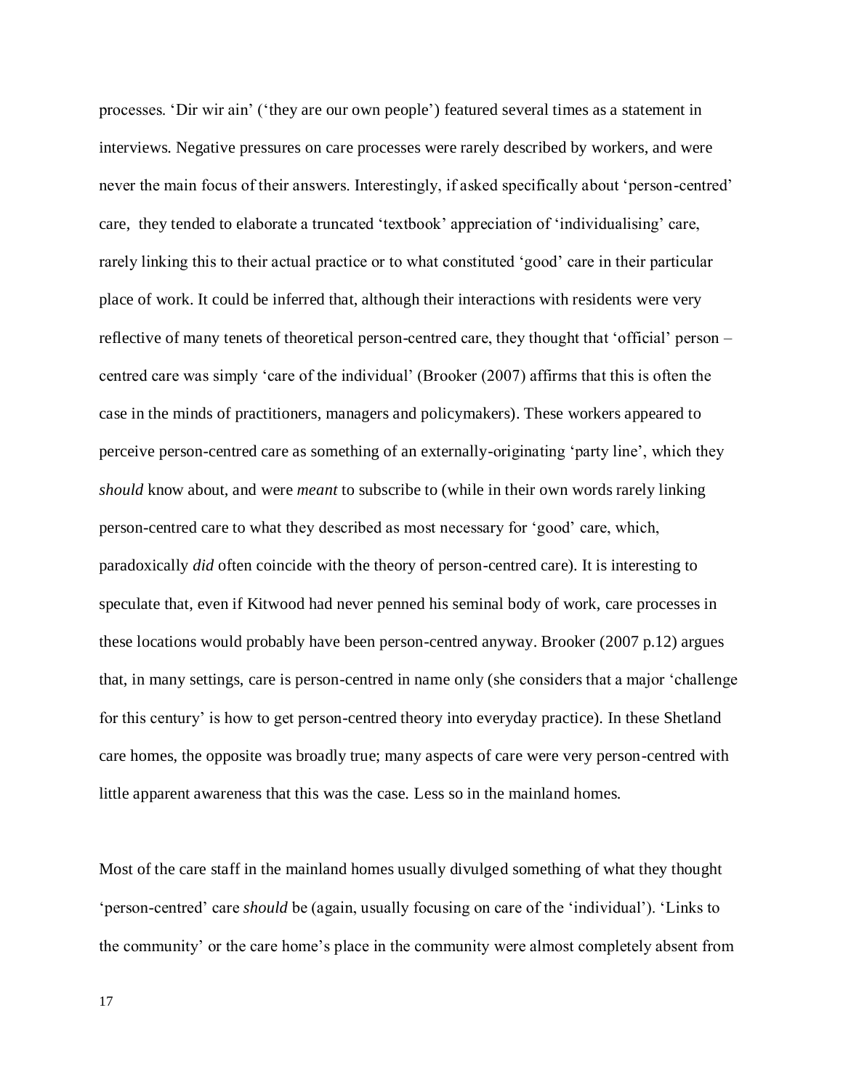processes. 'Dir wir ain' ('they are our own people') featured several times as a statement in interviews. Negative pressures on care processes were rarely described by workers, and were never the main focus of their answers. Interestingly, if asked specifically about 'person-centred' care, they tended to elaborate a truncated 'textbook' appreciation of 'individualising' care, rarely linking this to their actual practice or to what constituted 'good' care in their particular place of work. It could be inferred that, although their interactions with residents were very reflective of many tenets of theoretical person-centred care, they thought that 'official' person – centred care was simply 'care of the individual' (Brooker (2007) affirms that this is often the case in the minds of practitioners, managers and policymakers). These workers appeared to perceive person-centred care as something of an externally-originating 'party line', which they *should* know about, and were *meant* to subscribe to (while in their own words rarely linking person-centred care to what they described as most necessary for 'good' care, which, paradoxically *did* often coincide with the theory of person-centred care). It is interesting to speculate that, even if Kitwood had never penned his seminal body of work, care processes in these locations would probably have been person-centred anyway. Brooker (2007 p.12) argues that, in many settings, care is person-centred in name only (she considers that a major 'challenge for this century' is how to get person-centred theory into everyday practice). In these Shetland care homes, the opposite was broadly true; many aspects of care were very person-centred with little apparent awareness that this was the case. Less so in the mainland homes.

Most of the care staff in the mainland homes usually divulged something of what they thought 'person-centred' care *should* be (again, usually focusing on care of the 'individual'). 'Links to the community' or the care home's place in the community were almost completely absent from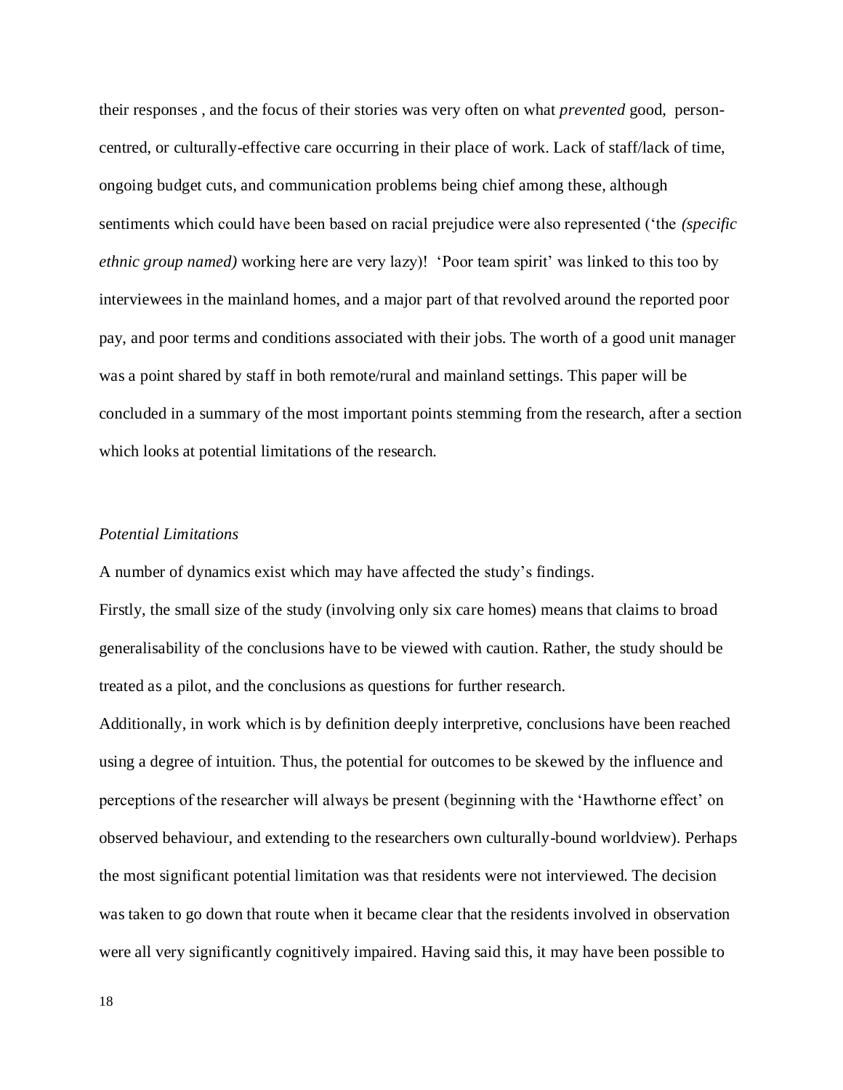their responses , and the focus of their stories was very often on what *prevented* good, personcentred, or culturally-effective care occurring in their place of work. Lack of staff/lack of time, ongoing budget cuts, and communication problems being chief among these, although sentiments which could have been based on racial prejudice were also represented ('the *(specific ethnic group named)* working here are very lazy)! 'Poor team spirit' was linked to this too by interviewees in the mainland homes, and a major part of that revolved around the reported poor pay, and poor terms and conditions associated with their jobs. The worth of a good unit manager was a point shared by staff in both remote/rural and mainland settings. This paper will be concluded in a summary of the most important points stemming from the research, after a section which looks at potential limitations of the research.

## *Potential Limitations*

A number of dynamics exist which may have affected the study's findings.

Firstly, the small size of the study (involving only six care homes) means that claims to broad generalisability of the conclusions have to be viewed with caution. Rather, the study should be treated as a pilot, and the conclusions as questions for further research.

Additionally, in work which is by definition deeply interpretive, conclusions have been reached using a degree of intuition. Thus, the potential for outcomes to be skewed by the influence and perceptions of the researcher will always be present (beginning with the 'Hawthorne effect' on observed behaviour, and extending to the researchers own culturally-bound worldview). Perhaps the most significant potential limitation was that residents were not interviewed. The decision was taken to go down that route when it became clear that the residents involved in observation were all very significantly cognitively impaired. Having said this, it may have been possible to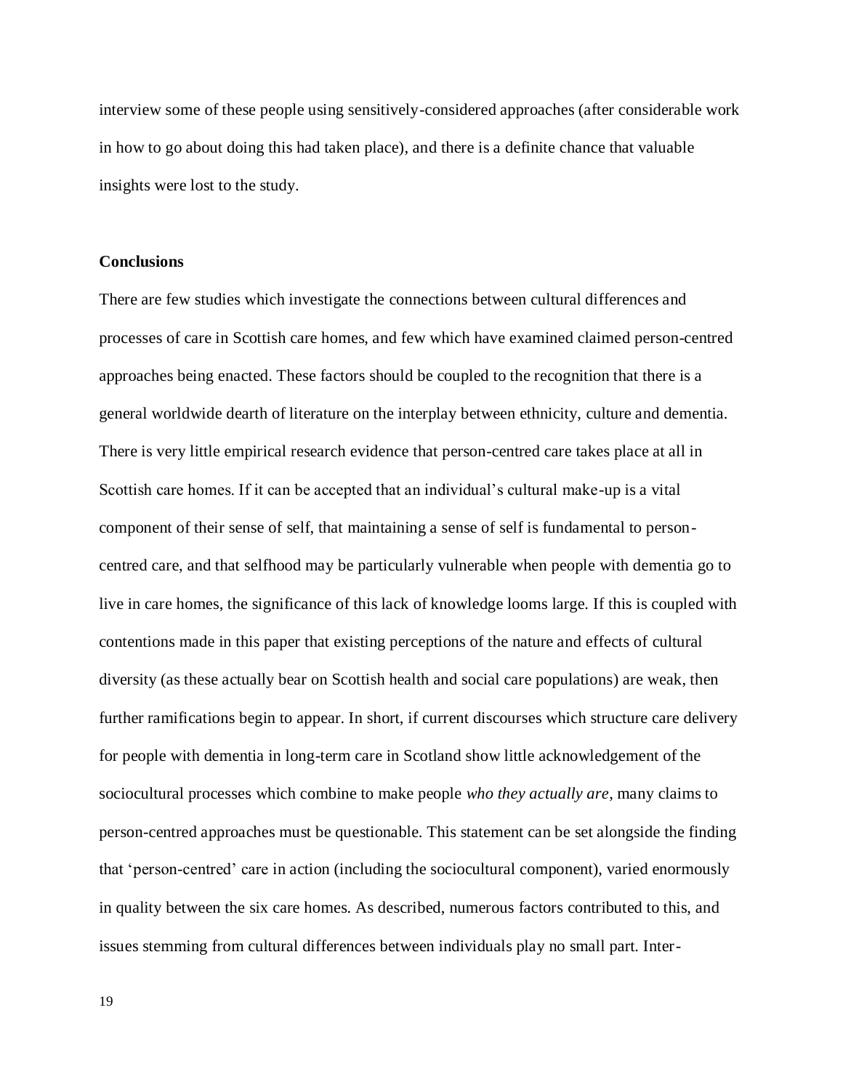interview some of these people using sensitively-considered approaches (after considerable work in how to go about doing this had taken place), and there is a definite chance that valuable insights were lost to the study.

## **Conclusions**

There are few studies which investigate the connections between cultural differences and processes of care in Scottish care homes, and few which have examined claimed person-centred approaches being enacted. These factors should be coupled to the recognition that there is a general worldwide dearth of literature on the interplay between ethnicity, culture and dementia. There is very little empirical research evidence that person-centred care takes place at all in Scottish care homes. If it can be accepted that an individual's cultural make-up is a vital component of their sense of self, that maintaining a sense of self is fundamental to personcentred care, and that selfhood may be particularly vulnerable when people with dementia go to live in care homes, the significance of this lack of knowledge looms large. If this is coupled with contentions made in this paper that existing perceptions of the nature and effects of cultural diversity (as these actually bear on Scottish health and social care populations) are weak, then further ramifications begin to appear. In short, if current discourses which structure care delivery for people with dementia in long-term care in Scotland show little acknowledgement of the sociocultural processes which combine to make people *who they actually are*, many claims to person-centred approaches must be questionable. This statement can be set alongside the finding that 'person-centred' care in action (including the sociocultural component), varied enormously in quality between the six care homes. As described, numerous factors contributed to this, and issues stemming from cultural differences between individuals play no small part. Inter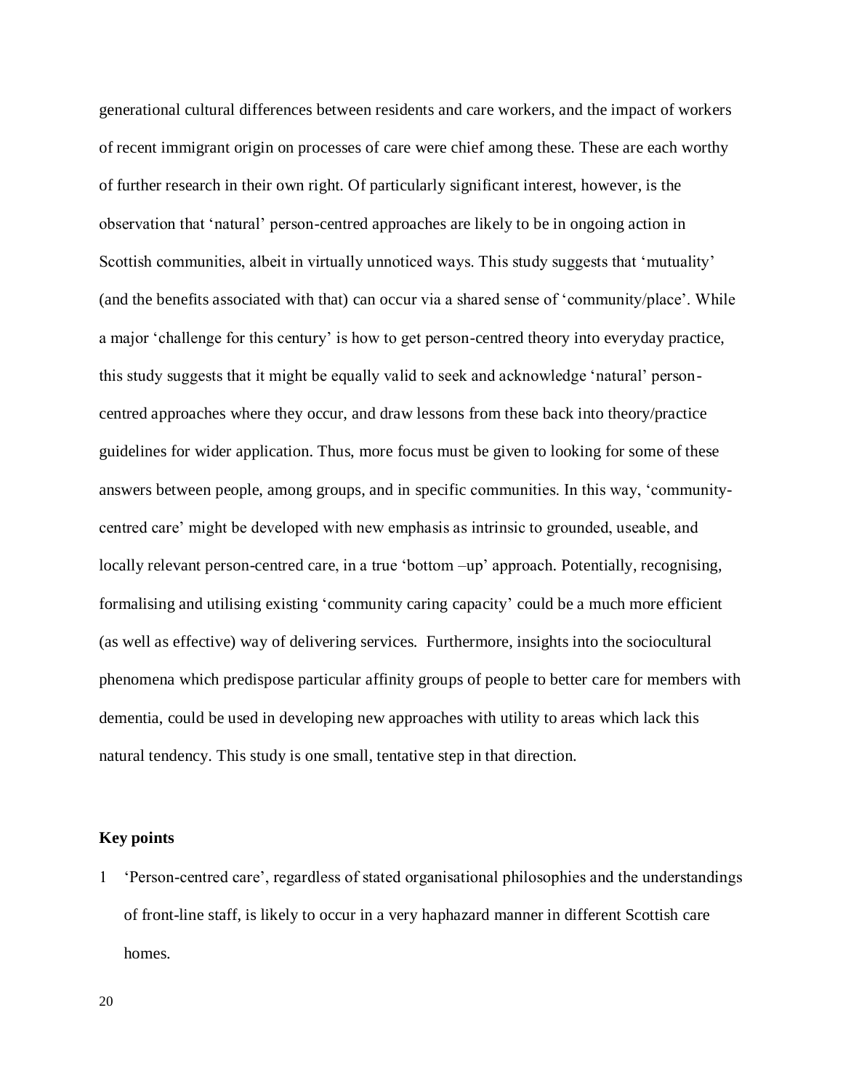generational cultural differences between residents and care workers, and the impact of workers of recent immigrant origin on processes of care were chief among these. These are each worthy of further research in their own right. Of particularly significant interest, however, is the observation that 'natural' person-centred approaches are likely to be in ongoing action in Scottish communities, albeit in virtually unnoticed ways. This study suggests that 'mutuality' (and the benefits associated with that) can occur via a shared sense of 'community/place'. While a major 'challenge for this century' is how to get person-centred theory into everyday practice, this study suggests that it might be equally valid to seek and acknowledge 'natural' personcentred approaches where they occur, and draw lessons from these back into theory/practice guidelines for wider application. Thus, more focus must be given to looking for some of these answers between people, among groups, and in specific communities. In this way, 'communitycentred care' might be developed with new emphasis as intrinsic to grounded, useable, and locally relevant person-centred care, in a true 'bottom –up' approach. Potentially, recognising, formalising and utilising existing 'community caring capacity' could be a much more efficient (as well as effective) way of delivering services. Furthermore, insights into the sociocultural phenomena which predispose particular affinity groups of people to better care for members with dementia, could be used in developing new approaches with utility to areas which lack this natural tendency. This study is one small, tentative step in that direction.

## **Key points**

 'Person-centred care', regardless of stated organisational philosophies and the understandings of front-line staff, is likely to occur in a very haphazard manner in different Scottish care homes.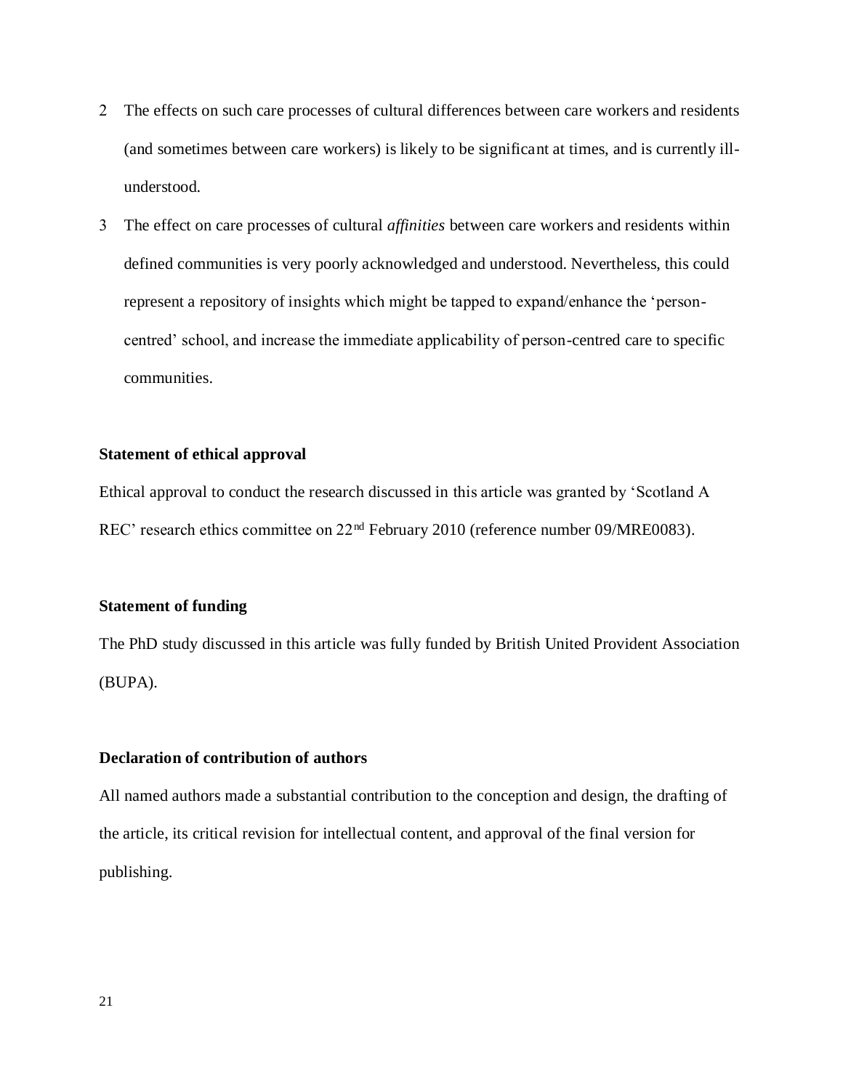- The effects on such care processes of cultural differences between care workers and residents (and sometimes between care workers) is likely to be significant at times, and is currently illunderstood.
- The effect on care processes of cultural *affinities* between care workers and residents within defined communities is very poorly acknowledged and understood. Nevertheless, this could represent a repository of insights which might be tapped to expand/enhance the 'personcentred' school, and increase the immediate applicability of person-centred care to specific communities.

## **Statement of ethical approval**

Ethical approval to conduct the research discussed in this article was granted by 'Scotland A REC' research ethics committee on 22<sup>nd</sup> February 2010 (reference number 09/MRE0083).

## **Statement of funding**

The PhD study discussed in this article was fully funded by British United Provident Association (BUPA).

## **Declaration of contribution of authors**

All named authors made a substantial contribution to the conception and design, the drafting of the article, its critical revision for intellectual content, and approval of the final version for publishing.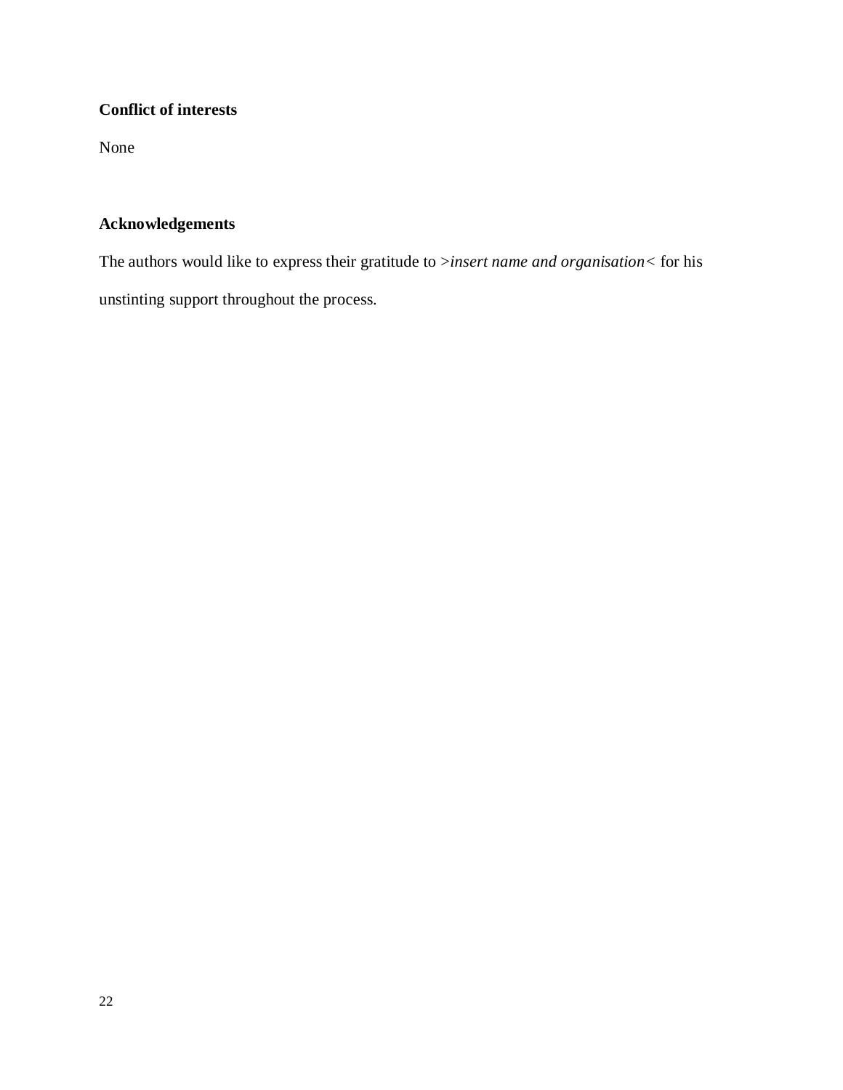# **Conflict of interests**

None

## **Acknowledgements**

The authors would like to express their gratitude to >*insert name and organisation<* for his unstinting support throughout the process.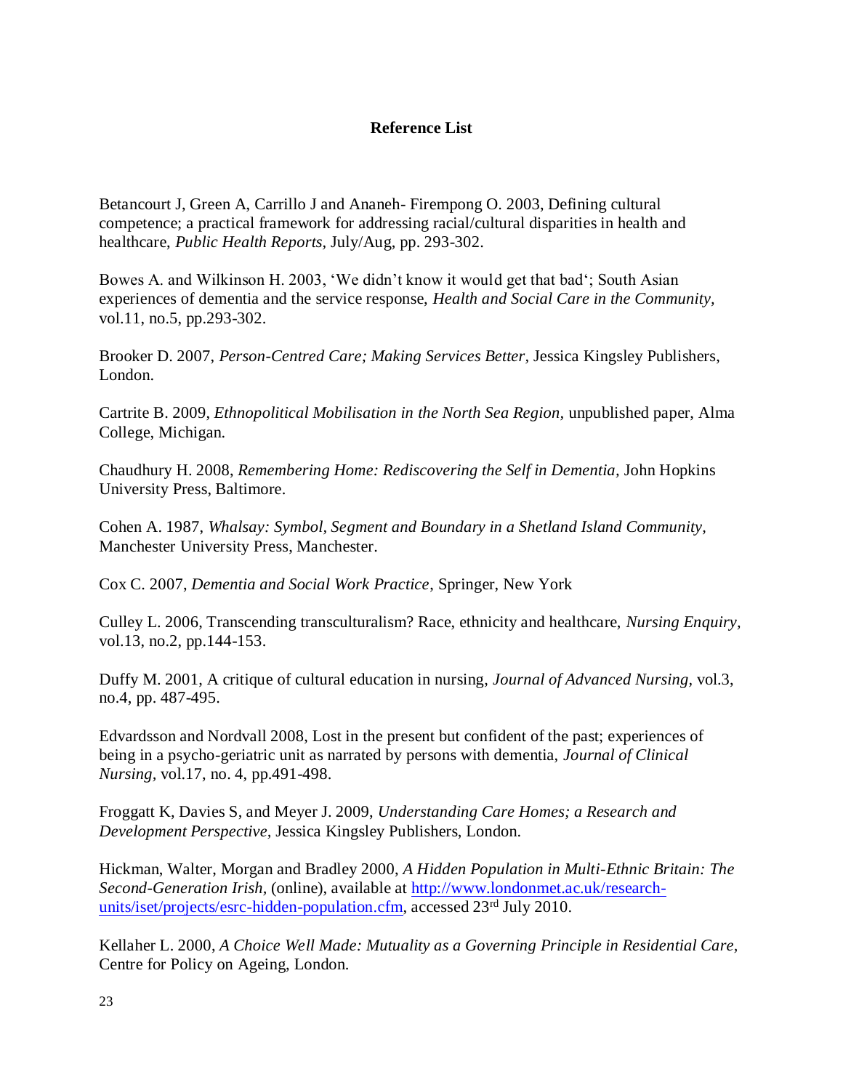## **Reference List**

Betancourt J, Green A, Carrillo J and Ananeh- Firempong O. 2003, Defining cultural competence; a practical framework for addressing racial/cultural disparities in health and healthcare, *Public Health Reports,* July/Aug, pp. 293-302.

Bowes A. and Wilkinson H. 2003, 'We didn't know it would get that bad'; South Asian experiences of dementia and the service response, *Health and Social Care in the Community,*  vol.11, no.5, pp.293-302.

Brooker D. 2007, *Person-Centred Care; Making Services Better,* Jessica Kingsley Publishers, London.

Cartrite B. 2009, *Ethnopolitical Mobilisation in the North Sea Region,* unpublished paper, Alma College, Michigan.

Chaudhury H. 2008, *Remembering Home: Rediscovering the Self in Dementia,* John Hopkins University Press, Baltimore.

Cohen A. 1987, *Whalsay: Symbol, Segment and Boundary in a Shetland Island Community,*  Manchester University Press, Manchester.

Cox C. 2007, *Dementia and Social Work Practice*, Springer, New York

Culley L. 2006, Transcending transculturalism? Race, ethnicity and healthcare, *Nursing Enquiry,* vol.13, no.2, pp.144-153.

Duffy M. 2001, A critique of cultural education in nursing, *Journal of Advanced Nursing,* vol.3, no.4, pp. 487-495.

Edvardsson and Nordvall 2008, Lost in the present but confident of the past; experiences of being in a psycho-geriatric unit as narrated by persons with dementia, *Journal of Clinical Nursing,* vol.17, no. 4, pp.491-498.

Froggatt K, Davies S, and Meyer J. 2009, *Understanding Care Homes; a Research and Development Perspective,* Jessica Kingsley Publishers, London.

Hickman, Walter, Morgan and Bradley 2000, *A Hidden Population in Multi-Ethnic Britain: The Second-Generation Irish,* (online), available at [http://www.londonmet.ac.uk/research](http://www.londonmet.ac.uk/research-units/iset/projects/esrc-hidden-population.cfm)[units/iset/projects/esrc-hidden-population.cfm,](http://www.londonmet.ac.uk/research-units/iset/projects/esrc-hidden-population.cfm) accessed 23<sup>rd</sup> July 2010.

Kellaher L. 2000, *A Choice Well Made: Mutuality as a Governing Principle in Residential Care,*  Centre for Policy on Ageing, London.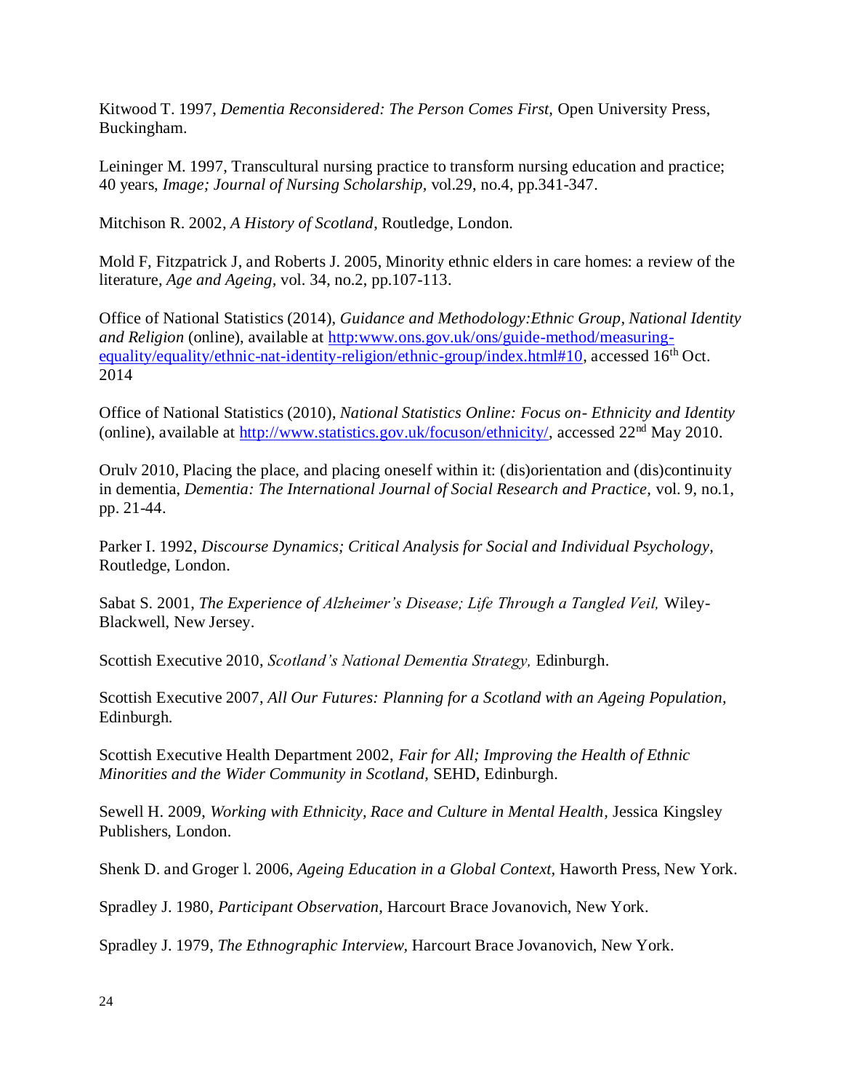Kitwood T. 1997, *Dementia Reconsidered: The Person Comes First,* Open University Press, Buckingham.

Leininger M. 1997, Transcultural nursing practice to transform nursing education and practice; 40 years, *Image; Journal of Nursing Scholarship,* vol.29, no.4, pp.341-347.

Mitchison R. 2002, *A History of Scotland*, Routledge, London.

Mold F, Fitzpatrick J, and Roberts J. 2005, Minority ethnic elders in care homes: a review of the literature, *Age and Ageing,* vol. 34, no.2, pp.107-113.

Office of National Statistics (2014), *Guidance and Methodology:Ethnic Group, National Identity and Religion* (online), available at http:www.ons.gov.uk/ons/guide-method/measuringequality/equality/ethnic-nat-identity-religion/ethnic-group/index.html#10, accessed 16<sup>th</sup> Oct. 2014

Office of National Statistics (2010), *National Statistics Online: Focus on- Ethnicity and Identity*  (online), available at http://www.statistics.gov.uk/focuson/ethnicity/, accessed 22nd May 2010.

Orulv 2010, Placing the place, and placing oneself within it: (dis)orientation and (dis)continuity in dementia, *Dementia: The International Journal of Social Research and Practice,* vol. 9, no.1, pp. 21-44.

Parker I. 1992, *Discourse Dynamics; Critical Analysis for Social and Individual Psychology,*  Routledge, London.

Sabat S. 2001, *The Experience of Alzheimer's Disease; Life Through a Tangled Veil,* Wiley-Blackwell, New Jersey.

Scottish Executive 2010, *Scotland's National Dementia Strategy,* Edinburgh.

Scottish Executive 2007, *All Our Futures: Planning for a Scotland with an Ageing Population,*  Edinburgh.

Scottish Executive Health Department 2002, *Fair for All; Improving the Health of Ethnic Minorities and the Wider Community in Scotland,* SEHD, Edinburgh.

Sewell H. 2009, *Working with Ethnicity, Race and Culture in Mental Health, Jessica Kingsley* Publishers, London.

Shenk D. and Groger l. 2006, *Ageing Education in a Global Context,* Haworth Press, New York.

Spradley J. 1980, *Participant Observation,* Harcourt Brace Jovanovich, New York.

Spradley J. 1979, *The Ethnographic Interview,* Harcourt Brace Jovanovich, New York.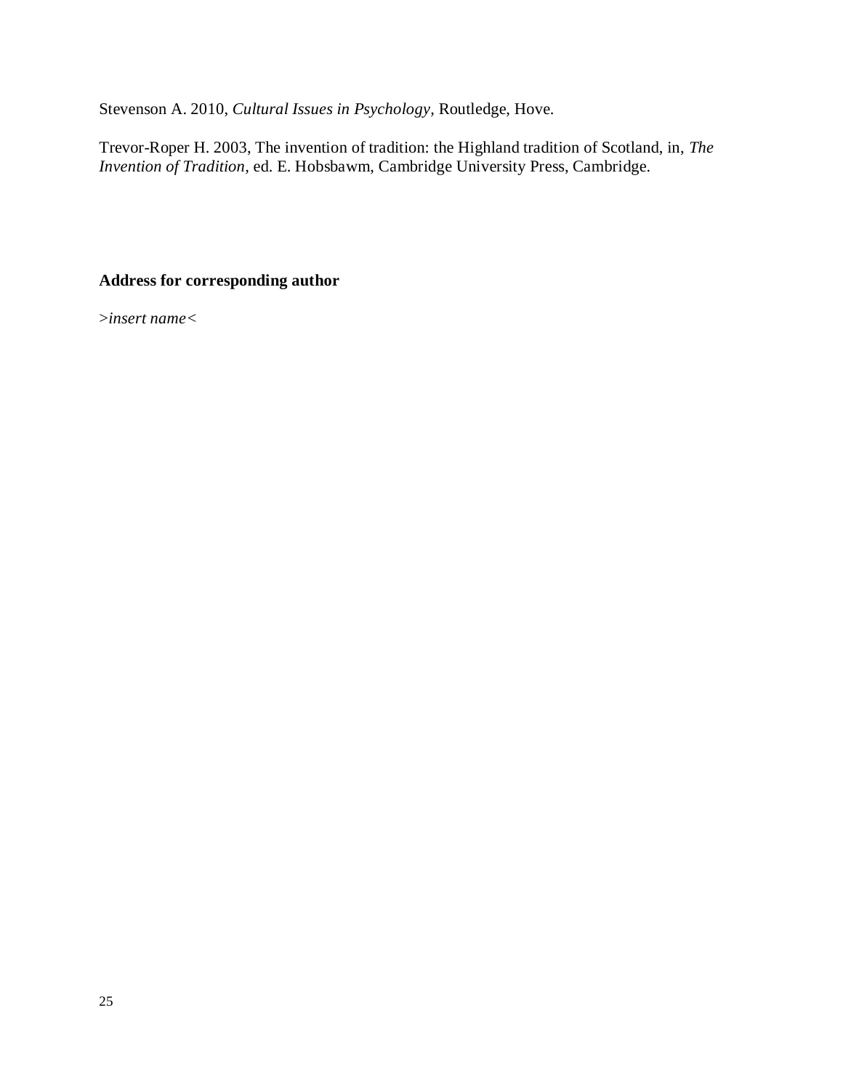Stevenson A. 2010, *Cultural Issues in Psychology,* Routledge, Hove.

Trevor-Roper H. 2003, The invention of tradition: the Highland tradition of Scotland, in, *The Invention of Tradition,* ed. E. Hobsbawm, Cambridge University Press, Cambridge.

## **Address for corresponding author**

>*insert name<*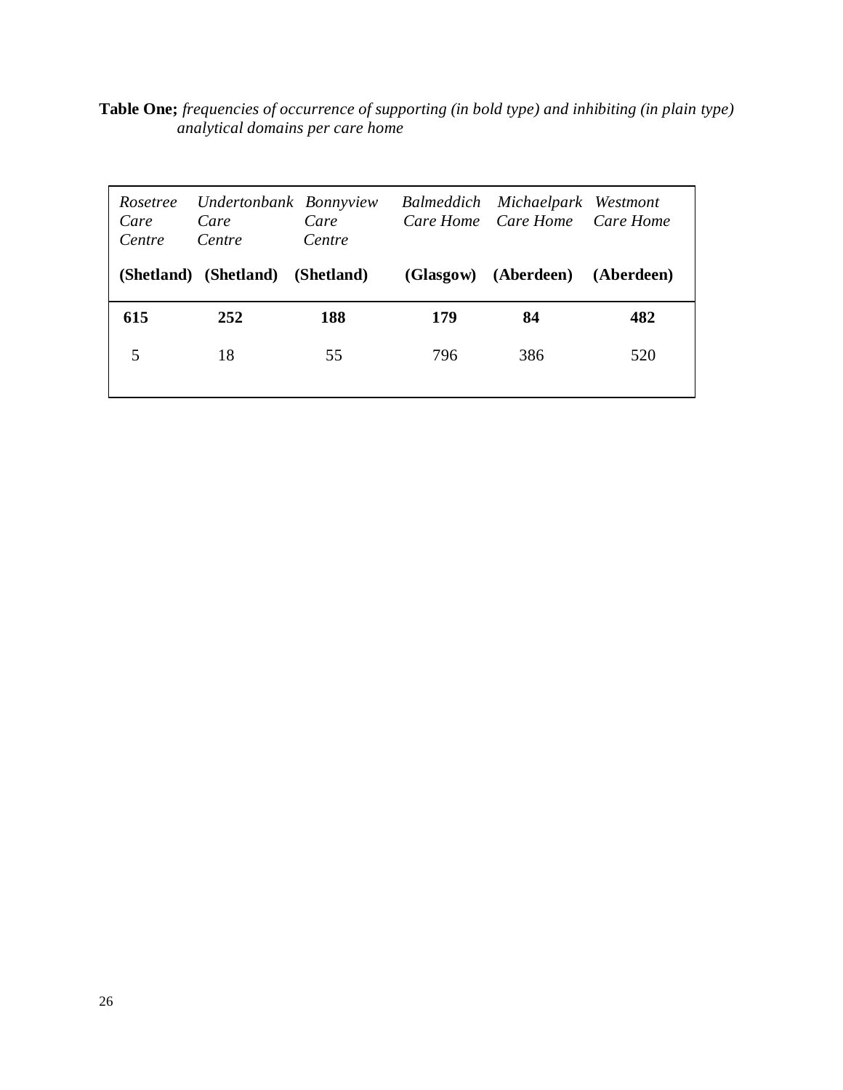**Table One;** *frequencies of occurrence of supporting (in bold type) and inhibiting (in plain type) analytical domains per care home* 

| Rosetree<br>Care<br>Centre | Care<br>Centre        | Undertonbank Bonnyview<br>Care<br>Centre |     | Balmeddich Michaelpark Westmont<br>Care Home Care Home Care Home |            |
|----------------------------|-----------------------|------------------------------------------|-----|------------------------------------------------------------------|------------|
|                            | (Shetland) (Shetland) | (Shetland)                               |     | (Glasgow) (Aberdeen)                                             | (Aberdeen) |
| 615                        | 252                   | 188                                      | 179 | 84                                                               | 482        |
| 5                          | 18                    | 55                                       | 796 | 386                                                              | 520        |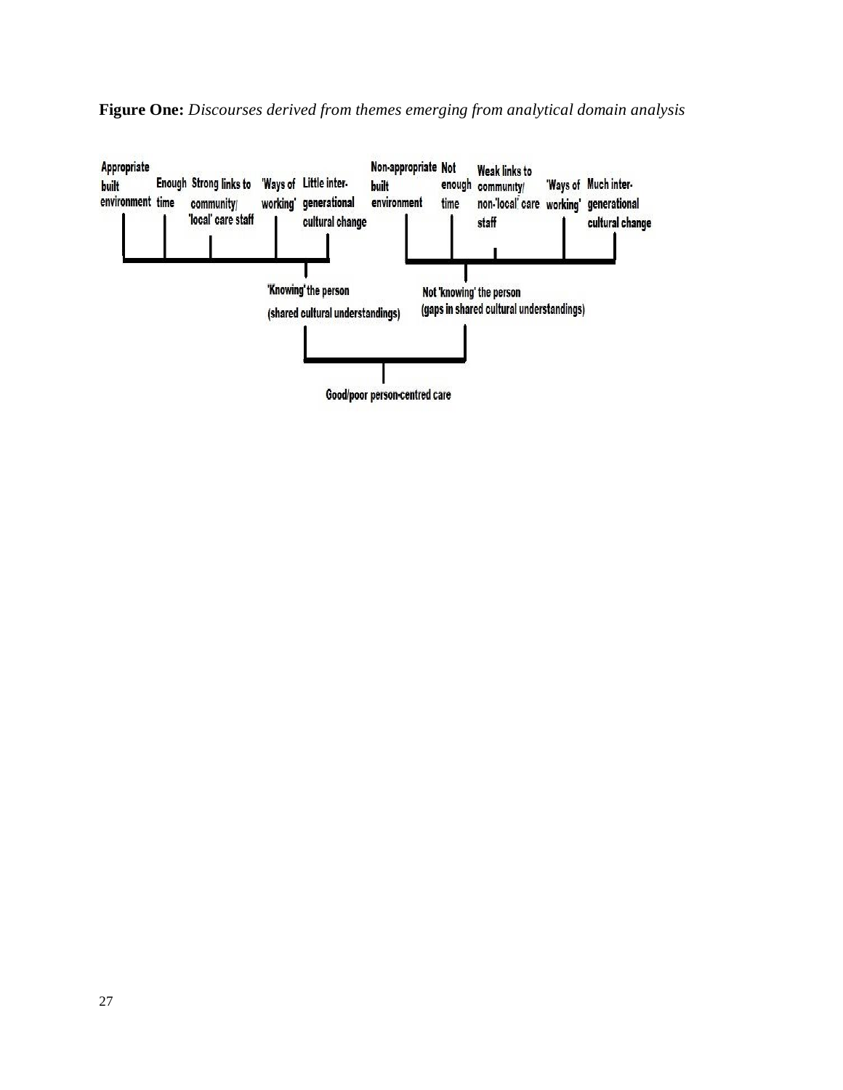